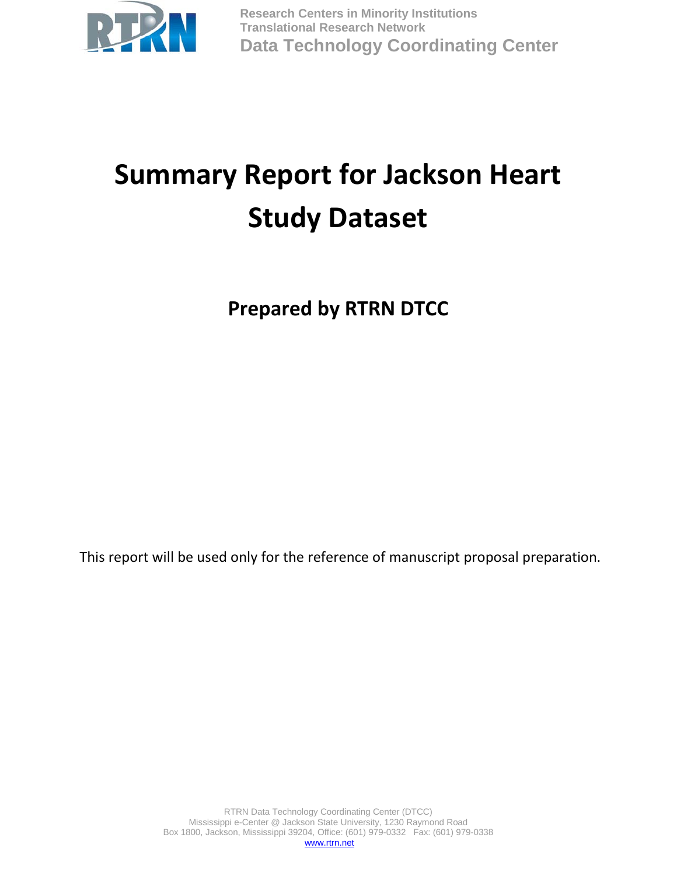

**Research Centers in Minority Institutions Translational Research Network Data Technology Coordinating Center**

# **Summary Report for Jackson Heart Study Dataset**

**Prepared by RTRN DTCC**

This report will be used only for the reference of manuscript proposal preparation.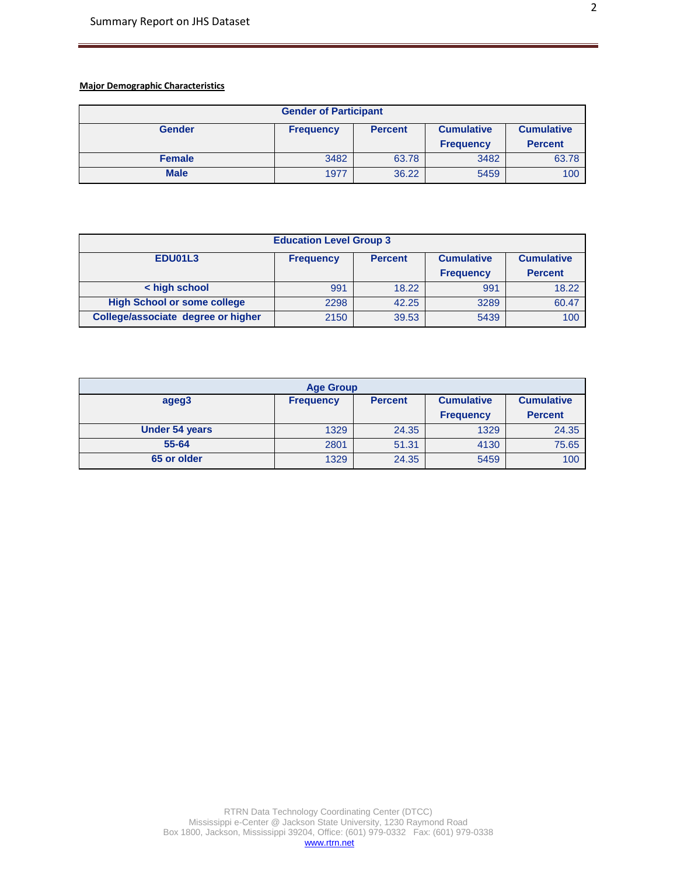# **Major Demographic Characteristics**

| <b>Gender of Participant</b> |                   |       |                  |                |
|------------------------------|-------------------|-------|------------------|----------------|
| <b>Gender</b>                | <b>Cumulative</b> |       |                  |                |
|                              |                   |       | <b>Frequency</b> | <b>Percent</b> |
| <b>Female</b>                | 3482              | 63.78 | 3482             | 63.78          |
| <b>Male</b>                  | 1977              | 36.22 | 5459             | 100            |

| <b>Education Level Group 3</b>                                                          |      |       |                  |                |  |  |  |
|-----------------------------------------------------------------------------------------|------|-------|------------------|----------------|--|--|--|
| EDU01L3<br><b>Cumulative</b><br><b>Cumulative</b><br><b>Frequency</b><br><b>Percent</b> |      |       |                  |                |  |  |  |
|                                                                                         |      |       | <b>Frequency</b> | <b>Percent</b> |  |  |  |
| < high school                                                                           | 991  | 18.22 | 991              | 18.22          |  |  |  |
| <b>High School or some college</b>                                                      | 2298 | 42.25 | 3289             | 60.47          |  |  |  |
| College/associate degree or higher                                                      | 2150 | 39.53 | 5439             | 100            |  |  |  |

| <b>Age Group</b>      |                                                                              |       |                  |                |  |  |  |
|-----------------------|------------------------------------------------------------------------------|-------|------------------|----------------|--|--|--|
| ageg3                 | <b>Cumulative</b><br><b>Cumulative</b><br><b>Frequency</b><br><b>Percent</b> |       |                  |                |  |  |  |
|                       |                                                                              |       | <b>Frequency</b> | <b>Percent</b> |  |  |  |
| <b>Under 54 years</b> | 1329                                                                         | 24.35 | 1329             | 24.35          |  |  |  |
| 55-64                 | 2801                                                                         | 51.31 | 4130             | 75.65          |  |  |  |
| 65 or older           | 1329                                                                         | 24.35 | 5459             | 100            |  |  |  |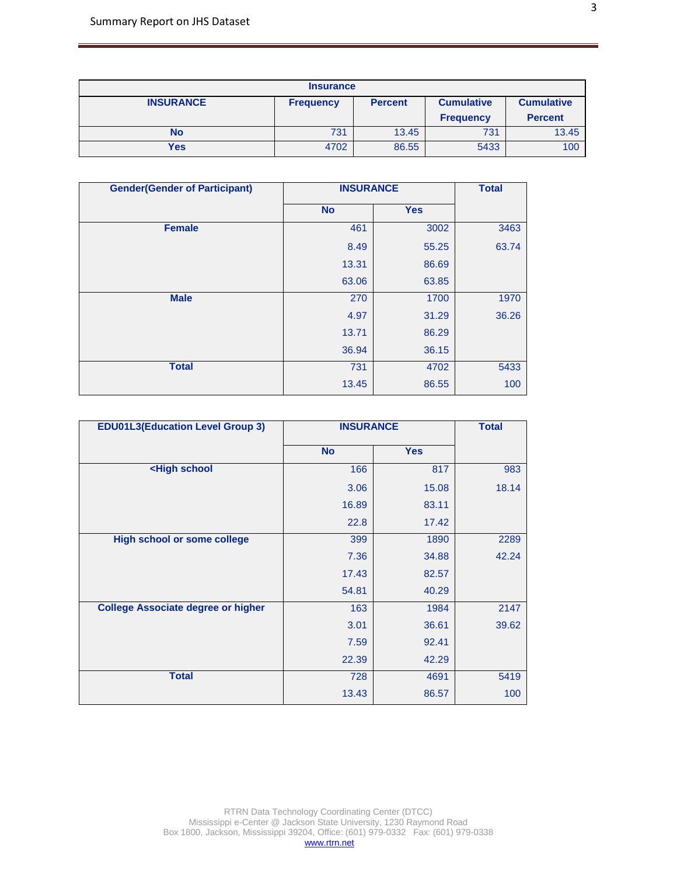| <b>Insurance</b> |                  |                |                   |                   |  |
|------------------|------------------|----------------|-------------------|-------------------|--|
| <b>INSURANCE</b> | <b>Frequency</b> | <b>Percent</b> | <b>Cumulative</b> | <b>Cumulative</b> |  |
|                  |                  |                | <b>Frequency</b>  | <b>Percent</b>    |  |
| <b>No</b>        | 731              | 13.45          | 731               | 13.45             |  |
| Yes              | 4702             | 86.55          | 5433              | 100               |  |

| <b>Gender(Gender of Participant)</b> | <b>INSURANCE</b> | <b>Total</b> |       |
|--------------------------------------|------------------|--------------|-------|
|                                      | <b>No</b>        | <b>Yes</b>   |       |
| <b>Female</b>                        | 461              | 3002         | 3463  |
|                                      | 8.49             | 55.25        | 63.74 |
|                                      | 13.31            | 86.69        |       |
|                                      | 63.06            | 63.85        |       |
| <b>Male</b>                          | 270              | 1700         | 1970  |
|                                      | 4.97             | 31.29        | 36.26 |
|                                      | 13.71            | 86.29        |       |
|                                      | 36.94            | 36.15        |       |
| <b>Total</b>                         | 731              | 4702         | 5433  |
|                                      | 13.45            | 86.55        | 100   |

| <b>EDU01L3(Education Level Group 3)</b>                            | <b>INSURANCE</b> |            | <b>Total</b> |
|--------------------------------------------------------------------|------------------|------------|--------------|
|                                                                    | <b>No</b>        | <b>Yes</b> |              |
| <high school<="" th=""><th>166</th><th>817</th><th>983</th></high> | 166              | 817        | 983          |
|                                                                    | 3.06             | 15.08      | 18.14        |
|                                                                    | 16.89            | 83.11      |              |
|                                                                    | 22.8             | 17.42      |              |
| <b>High school or some college</b>                                 | 399<br>1890      |            | 2289         |
|                                                                    | 7.36             | 34.88      | 42.24        |
|                                                                    | 17.43            | 82.57      |              |
|                                                                    | 54.81            | 40.29      |              |
| <b>College Associate degree or higher</b>                          | 163              | 1984       | 2147         |
|                                                                    | 3.01             | 36.61      | 39.62        |
|                                                                    | 7.59             | 92.41      |              |
|                                                                    | 22.39            | 42.29      |              |
| <b>Total</b>                                                       | 728              | 4691       | 5419         |
|                                                                    | 13.43            | 86.57      | 100          |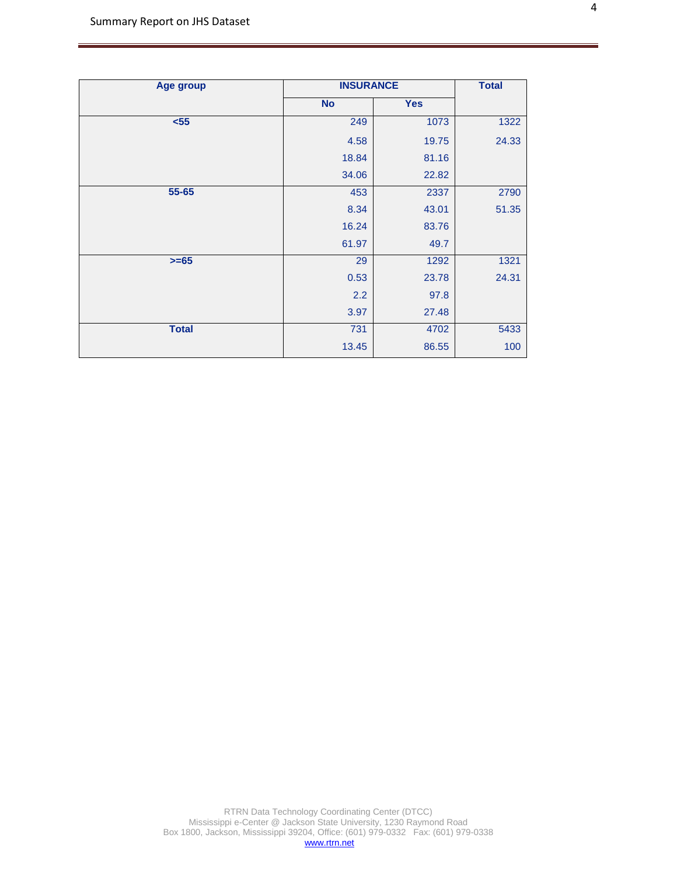| <b>Age group</b> | <b>INSURANCE</b> | <b>Total</b> |       |
|------------------|------------------|--------------|-------|
|                  | <b>No</b>        | <b>Yes</b>   |       |
| $55$             | 249              | 1073         | 1322  |
|                  | 4.58             | 19.75        | 24.33 |
|                  | 18.84            | 81.16        |       |
|                  | 34.06            | 22.82        |       |
| $55 - 65$        | 453              | 2337         | 2790  |
|                  | 8.34             | 43.01        | 51.35 |
|                  | 16.24            | 83.76        |       |
|                  | 61.97            | 49.7         |       |
| $>= 65$          | 29               | 1292         | 1321  |
|                  | 0.53             | 23.78        | 24.31 |
|                  | 2.2              | 97.8         |       |
|                  | 3.97             | 27.48        |       |
| <b>Total</b>     | 731              | 4702         | 5433  |
|                  | 13.45            | 86.55        | 100   |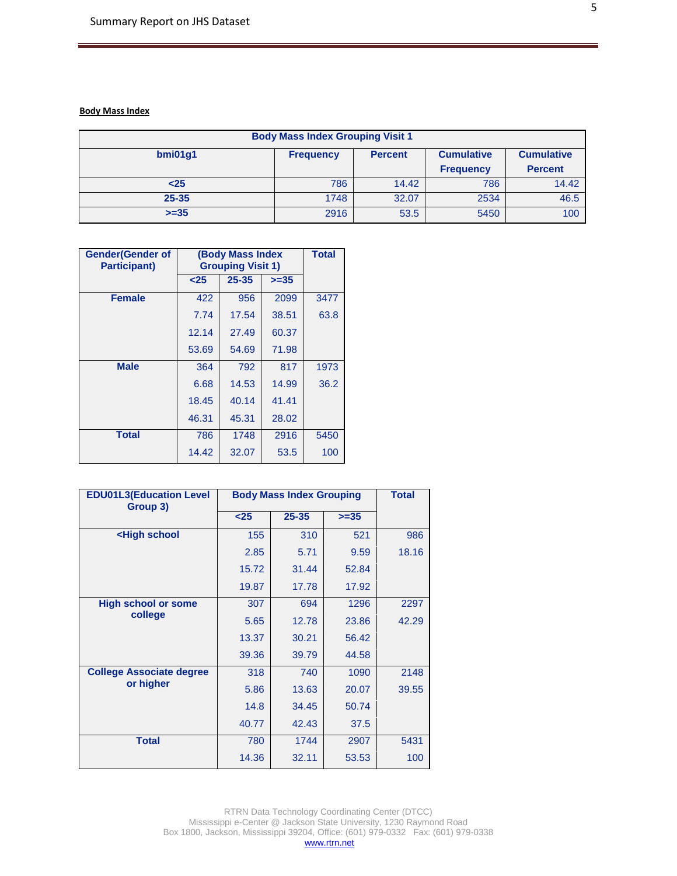## **Body Mass Index**

| <b>Body Mass Index Grouping Visit 1</b>                                                 |      |                |      |       |  |  |  |  |
|-----------------------------------------------------------------------------------------|------|----------------|------|-------|--|--|--|--|
| <b>Cumulative</b><br>bmi01g1<br><b>Cumulative</b><br><b>Frequency</b><br><b>Percent</b> |      |                |      |       |  |  |  |  |
|                                                                                         |      | <b>Percent</b> |      |       |  |  |  |  |
| $25$                                                                                    | 786  | 14.42          | 786  | 14.42 |  |  |  |  |
| $25 - 35$                                                                               | 1748 | 32.07          | 2534 | 46.5  |  |  |  |  |
| $>=35$                                                                                  | 2916 | 53.5           | 5450 | 100   |  |  |  |  |

| <b>Gender</b> (Gender of<br><b>Participant)</b> |       | <b>(Body Mass Index</b><br><b>Grouping Visit 1)</b> |        |      |  |
|-------------------------------------------------|-------|-----------------------------------------------------|--------|------|--|
|                                                 | $25$  | $25 - 35$                                           | $>=35$ |      |  |
| <b>Female</b>                                   | 422   | 956                                                 | 2099   | 3477 |  |
|                                                 | 7.74  | 17.54                                               | 38.51  | 63.8 |  |
|                                                 | 12.14 | 60.37<br>27.49                                      |        |      |  |
|                                                 | 53.69 | 71.98<br>54.69                                      |        |      |  |
| <b>Male</b>                                     | 364   | 792                                                 | 817    |      |  |
|                                                 | 6.68  | 14.53                                               | 14.99  | 36.2 |  |
|                                                 | 18.45 | 40.14<br>41.41                                      |        |      |  |
|                                                 | 46.31 | 28.02<br>45.31                                      |        |      |  |
| <b>Total</b>                                    | 786   | 1748<br>2916                                        |        | 5450 |  |
|                                                 | 14.42 | 32.07                                               | 53.5   | 100  |  |

| <b>EDU01L3(Education Level</b><br>Group 3)                                     | <b>Body Mass Index Grouping</b> |           |        | <b>Total</b> |
|--------------------------------------------------------------------------------|---------------------------------|-----------|--------|--------------|
|                                                                                | $25$                            | $25 - 35$ | $>=35$ |              |
| <high school<="" th=""><th>155</th><th>310</th><th>521</th><th>986</th></high> | 155                             | 310       | 521    | 986          |
|                                                                                | 2.85                            | 5.71      | 9.59   | 18.16        |
|                                                                                | 15.72                           | 31.44     | 52.84  |              |
|                                                                                | 19.87                           | 17.78     | 17.92  |              |
| <b>High school or some</b>                                                     | 307                             | 694       | 1296   | 2297         |
| college                                                                        | 5.65                            | 12.78     | 23.86  | 42.29        |
|                                                                                | 13.37                           | 30.21     | 56.42  |              |
|                                                                                | 39.36                           | 39.79     | 44.58  |              |
| <b>College Associate degree</b>                                                | 318                             | 740       | 1090   | 2148         |
| or higher                                                                      | 5.86                            | 13.63     | 20.07  | 39.55        |
|                                                                                | 14.8                            | 34.45     | 50.74  |              |
|                                                                                | 40.77                           | 42.43     | 37.5   |              |
| <b>Total</b>                                                                   | 780                             | 1744      | 2907   | 5431         |
|                                                                                | 14.36                           | 32.11     | 53.53  | 100          |

RTRN Data Technology Coordinating Center (DTCC) Mississippi e-Center @ Jackson State University, 1230 Raymond Road Box 1800, Jackson, Mississippi 39204, Office: (601) 979-0332 Fax: (601) 979-0338 [www.rtrn.net](http://www.rtrn.net/)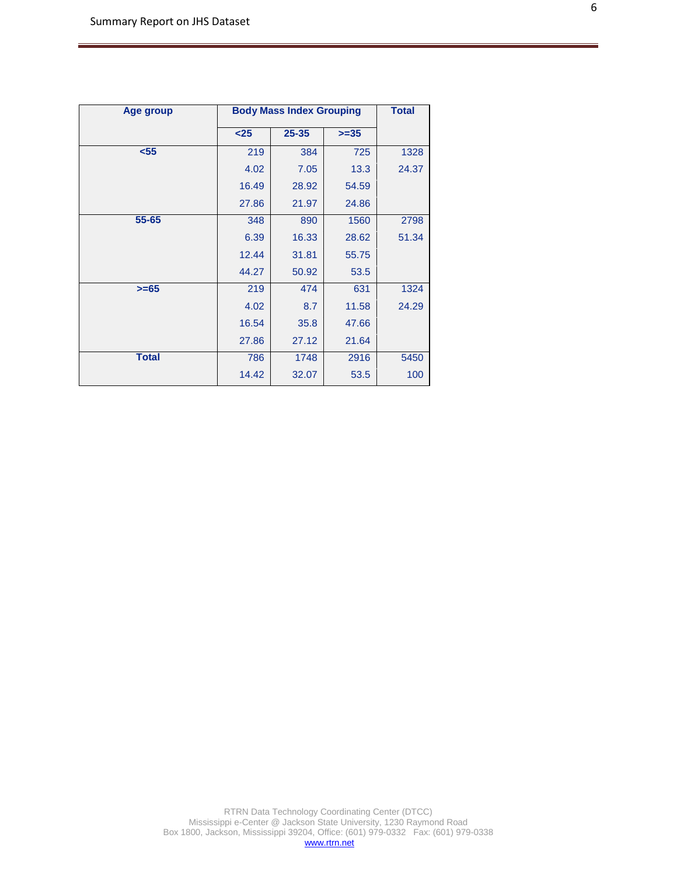| Age group    |       | <b>Body Mass Index Grouping</b> |        |       |  |
|--------------|-------|---------------------------------|--------|-------|--|
|              | $25$  | $25 - 35$                       | $>=35$ |       |  |
| $55$         | 219   | 384                             |        | 1328  |  |
|              | 4.02  | 7.05                            | 13.3   | 24.37 |  |
|              | 16.49 | 28.92                           | 54.59  |       |  |
|              | 27.86 | 21.97                           | 24.86  |       |  |
| $55 - 65$    | 348   | 1560<br>890                     |        | 2798  |  |
|              | 6.39  | 16.33                           | 28.62  | 51.34 |  |
|              | 12.44 | 31.81                           | 55.75  |       |  |
|              | 44.27 | 50.92                           | 53.5   |       |  |
| $>= 65$      | 219   | 474<br>631                      |        | 1324  |  |
|              | 4.02  | 8.7                             | 11.58  | 24.29 |  |
|              | 16.54 | 35.8                            | 47.66  |       |  |
|              | 27.86 | 27.12                           | 21.64  |       |  |
| <b>Total</b> | 786   | 1748<br>2916                    |        | 5450  |  |
|              | 14.42 | 32.07                           | 53.5   | 100   |  |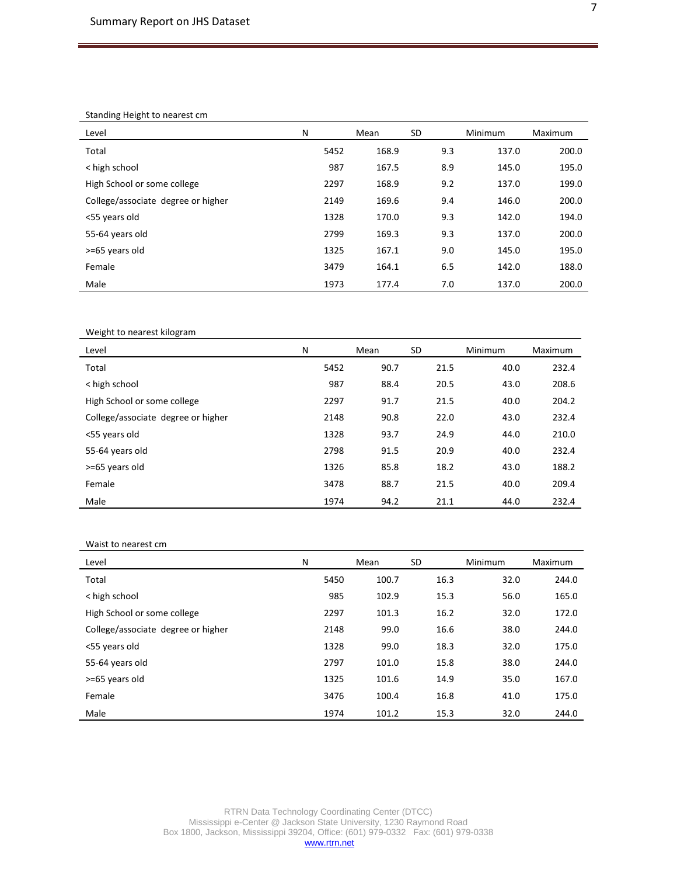#### Standing Height to nearest cm

| Level                              | N    | Mean  | <b>SD</b> | Minimum | Maximum |
|------------------------------------|------|-------|-----------|---------|---------|
| Total                              | 5452 | 168.9 | 9.3       | 137.0   | 200.0   |
| < high school                      | 987  | 167.5 | 8.9       | 145.0   | 195.0   |
| High School or some college        | 2297 | 168.9 | 9.2       | 137.0   | 199.0   |
| College/associate degree or higher | 2149 | 169.6 | 9.4       | 146.0   | 200.0   |
| <55 years old                      | 1328 | 170.0 | 9.3       | 142.0   | 194.0   |
| 55-64 years old                    | 2799 | 169.3 | 9.3       | 137.0   | 200.0   |
| >=65 years old                     | 1325 | 167.1 | 9.0       | 145.0   | 195.0   |
| Female                             | 3479 | 164.1 | 6.5       | 142.0   | 188.0   |
| Male                               | 1973 | 177.4 | 7.0       | 137.0   | 200.0   |

Weight to nearest kilogram

| Level                              | N    | Mean | <b>SD</b> | <b>Minimum</b> | <b>Maximum</b> |
|------------------------------------|------|------|-----------|----------------|----------------|
| Total                              | 5452 | 90.7 | 21.5      | 40.0           | 232.4          |
| < high school                      | 987  | 88.4 | 20.5      | 43.0           | 208.6          |
| High School or some college        | 2297 | 91.7 | 21.5      | 40.0           | 204.2          |
| College/associate degree or higher | 2148 | 90.8 | 22.0      | 43.0           | 232.4          |
| <55 years old                      | 1328 | 93.7 | 24.9      | 44.0           | 210.0          |
| 55-64 years old                    | 2798 | 91.5 | 20.9      | 40.0           | 232.4          |
| >=65 years old                     | 1326 | 85.8 | 18.2      | 43.0           | 188.2          |
| Female                             | 3478 | 88.7 | 21.5      | 40.0           | 209.4          |
| Male                               | 1974 | 94.2 | 21.1      | 44.0           | 232.4          |

#### Waist to nearest cm

| Level                              | N    | Mean  | SD   | <b>Minimum</b> | Maximum |
|------------------------------------|------|-------|------|----------------|---------|
| Total                              | 5450 | 100.7 | 16.3 | 32.0           | 244.0   |
| < high school                      | 985  | 102.9 | 15.3 | 56.0           | 165.0   |
| High School or some college        | 2297 | 101.3 | 16.2 | 32.0           | 172.0   |
| College/associate degree or higher | 2148 | 99.0  | 16.6 | 38.0           | 244.0   |
| <55 years old                      | 1328 | 99.0  | 18.3 | 32.0           | 175.0   |
| 55-64 years old                    | 2797 | 101.0 | 15.8 | 38.0           | 244.0   |
| >=65 years old                     | 1325 | 101.6 | 14.9 | 35.0           | 167.0   |
| Female                             | 3476 | 100.4 | 16.8 | 41.0           | 175.0   |
| Male                               | 1974 | 101.2 | 15.3 | 32.0           | 244.0   |

RTRN Data Technology Coordinating Center (DTCC) Mississippi e-Center @ Jackson State University, 1230 Raymond Road Box 1800, Jackson, Mississippi 39204, Office: (601) 979-0332 Fax: (601) 979-0338 7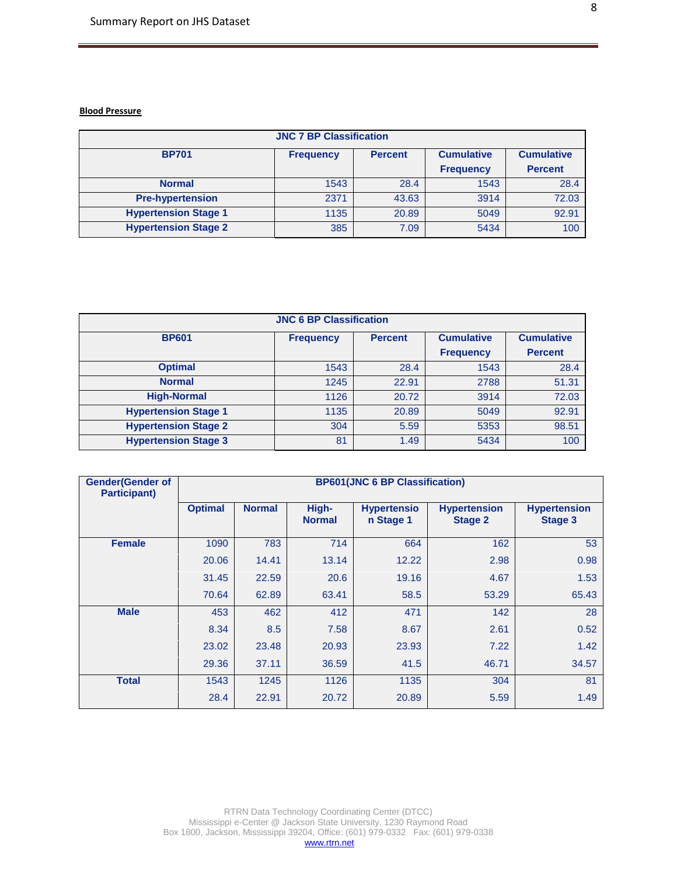#### **Blood Pressure**

| <b>JNC 7 BP Classification</b> |                                    |       |                  |                   |  |  |  |  |  |
|--------------------------------|------------------------------------|-------|------------------|-------------------|--|--|--|--|--|
| <b>BP701</b>                   | <b>Percent</b><br><b>Frequency</b> |       |                  | <b>Cumulative</b> |  |  |  |  |  |
|                                |                                    |       | <b>Frequency</b> | <b>Percent</b>    |  |  |  |  |  |
| <b>Normal</b>                  | 1543                               | 28.4  | 1543             | 28.4              |  |  |  |  |  |
| <b>Pre-hypertension</b>        | 2371                               | 43.63 | 3914             | 72.03             |  |  |  |  |  |
| <b>Hypertension Stage 1</b>    | 1135                               | 20.89 | 5049             | 92.91             |  |  |  |  |  |
| <b>Hypertension Stage 2</b>    | 385                                | 7.09  | 5434             | 100               |  |  |  |  |  |

| <b>JNC 6 BP Classification</b> |                  |                |                   |                   |  |  |  |  |  |
|--------------------------------|------------------|----------------|-------------------|-------------------|--|--|--|--|--|
| <b>BP601</b>                   | <b>Frequency</b> | <b>Percent</b> | <b>Cumulative</b> | <b>Cumulative</b> |  |  |  |  |  |
|                                |                  |                | <b>Frequency</b>  | <b>Percent</b>    |  |  |  |  |  |
| <b>Optimal</b>                 | 1543             | 28.4           | 1543              | 28.4              |  |  |  |  |  |
| <b>Normal</b>                  | 1245             | 22.91          | 2788              | 51.31             |  |  |  |  |  |
| <b>High-Normal</b>             | 1126             | 20.72          | 3914              | 72.03             |  |  |  |  |  |
| <b>Hypertension Stage 1</b>    | 1135             | 20.89          | 5049              | 92.91             |  |  |  |  |  |
| <b>Hypertension Stage 2</b>    | 304              | 5.59           | 5353              | 98.51             |  |  |  |  |  |
| <b>Hypertension Stage 3</b>    | 81               | 1.49           | 5434              | 100               |  |  |  |  |  |

| <b>Gender(Gender of</b><br><b>Participant)</b> |                | <b>BP601(JNC 6 BP Classification)</b> |                        |                                 |                                       |                                       |  |  |
|------------------------------------------------|----------------|---------------------------------------|------------------------|---------------------------------|---------------------------------------|---------------------------------------|--|--|
|                                                | <b>Optimal</b> | <b>Normal</b>                         | High-<br><b>Normal</b> | <b>Hypertensio</b><br>n Stage 1 | <b>Hypertension</b><br><b>Stage 2</b> | <b>Hypertension</b><br><b>Stage 3</b> |  |  |
| <b>Female</b>                                  | 1090           | 783                                   | 714                    | 664                             | 162                                   | 53                                    |  |  |
|                                                | 20.06          | 14.41                                 | 13.14                  | 12.22                           | 2.98                                  | 0.98                                  |  |  |
|                                                | 31.45          | 22.59                                 | 20.6                   | 19.16                           | 4.67                                  | 1.53                                  |  |  |
|                                                | 70.64          | 62.89                                 | 63.41                  | 58.5                            | 53.29                                 | 65.43                                 |  |  |
| <b>Male</b>                                    | 453            | 462                                   | 412                    | 471                             | 142                                   | 28                                    |  |  |
|                                                | 8.34           | 8.5                                   | 7.58                   | 8.67                            | 2.61                                  | 0.52                                  |  |  |
|                                                | 23.02          | 23.48                                 | 20.93                  | 23.93                           | 7.22                                  | 1.42                                  |  |  |
|                                                | 29.36          | 37.11                                 | 36.59                  | 41.5                            | 46.71                                 | 34.57                                 |  |  |
| <b>Total</b>                                   | 1543           | 1245                                  | 1126                   | 1135                            | 304                                   | 81                                    |  |  |
|                                                | 28.4           | 22.91                                 | 20.72                  | 20.89                           | 5.59                                  | 1.49                                  |  |  |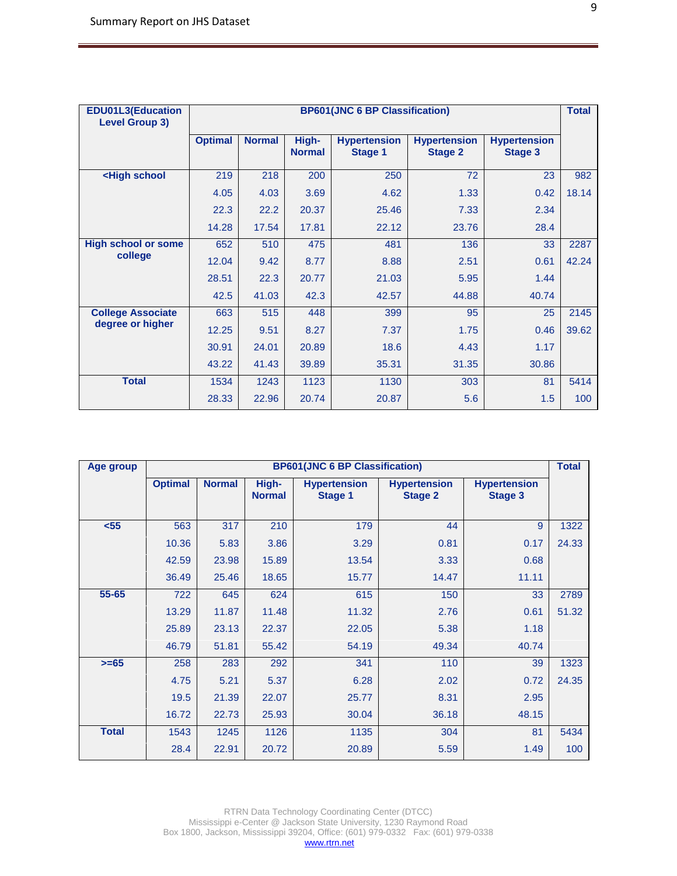| <b>EDU01L3(Education</b><br><b>Level Group 3)</b>                                                                |                | <b>BP601(JNC 6 BP Classification)</b> |                        |                                       |                                       |                                       |       |  |  |
|------------------------------------------------------------------------------------------------------------------|----------------|---------------------------------------|------------------------|---------------------------------------|---------------------------------------|---------------------------------------|-------|--|--|
|                                                                                                                  | <b>Optimal</b> | <b>Normal</b>                         | High-<br><b>Normal</b> | <b>Hypertension</b><br><b>Stage 1</b> | <b>Hypertension</b><br><b>Stage 2</b> | <b>Hypertension</b><br><b>Stage 3</b> |       |  |  |
| <high school<="" th=""><th>219</th><th>218</th><th>200</th><th>250</th><th>72</th><th>23</th><th>982</th></high> | 219            | 218                                   | 200                    | 250                                   | 72                                    | 23                                    | 982   |  |  |
|                                                                                                                  | 4.05           | 4.03                                  | 3.69                   | 4.62                                  | 1.33                                  | 0.42                                  | 18.14 |  |  |
|                                                                                                                  | 22.3           | 22.2                                  | 20.37                  | 25.46                                 | 7.33                                  | 2.34                                  |       |  |  |
|                                                                                                                  | 14.28          | 17.54                                 | 17.81                  | 22.12                                 | 23.76                                 | 28.4                                  |       |  |  |
| <b>High school or some</b>                                                                                       | 652            | 510                                   | 475                    | 481                                   | 136                                   | 33                                    | 2287  |  |  |
| college                                                                                                          | 12.04          | 9.42                                  | 8.77                   | 8.88                                  | 2.51                                  | 0.61                                  | 42.24 |  |  |
|                                                                                                                  | 28.51          | 22.3                                  | 20.77                  | 21.03                                 | 5.95                                  | 1.44                                  |       |  |  |
|                                                                                                                  | 42.5           | 41.03                                 | 42.3                   | 42.57                                 | 44.88                                 | 40.74                                 |       |  |  |
| <b>College Associate</b>                                                                                         | 663            | 515                                   | 448                    | 399                                   | 95                                    | 25                                    | 2145  |  |  |
| degree or higher                                                                                                 | 12.25          | 9.51                                  | 8.27                   | 7.37                                  | 1.75                                  | 0.46                                  | 39.62 |  |  |
|                                                                                                                  | 30.91          | 24.01                                 | 20.89                  | 18.6                                  | 4.43                                  | 1.17                                  |       |  |  |
|                                                                                                                  | 43.22          | 41.43                                 | 39.89                  | 35.31                                 | 31.35                                 | 30.86                                 |       |  |  |
| <b>Total</b>                                                                                                     | 1534           | 1243                                  | 1123                   | 1130                                  | 303                                   | 81                                    | 5414  |  |  |
|                                                                                                                  | 28.33          | 22.96                                 | 20.74                  | 20.87                                 | 5.6                                   | 1.5                                   | 100   |  |  |

| Age group    | <b>BP601(JNC 6 BP Classification)</b><br><b>Total</b> |               |                        |                                       |                                       |                                       |       |  |  |
|--------------|-------------------------------------------------------|---------------|------------------------|---------------------------------------|---------------------------------------|---------------------------------------|-------|--|--|
|              | <b>Optimal</b>                                        | <b>Normal</b> | High-<br><b>Normal</b> | <b>Hypertension</b><br><b>Stage 1</b> | <b>Hypertension</b><br><b>Stage 2</b> | <b>Hypertension</b><br><b>Stage 3</b> |       |  |  |
| $55$         | 563                                                   | 317           | 210                    | 179                                   | 44                                    | 9                                     | 1322  |  |  |
|              | 10.36                                                 | 5.83          | 3.86                   | 3.29                                  | 0.81                                  | 0.17                                  | 24.33 |  |  |
|              | 42.59                                                 | 23.98         | 15.89                  | 13.54                                 | 3.33                                  | 0.68                                  |       |  |  |
|              | 36.49                                                 | 25.46         | 18.65                  | 15.77                                 | 14.47                                 | 11.11                                 |       |  |  |
| 55-65        | 722                                                   | 645           | 624                    | 615                                   | 150                                   | 33                                    | 2789  |  |  |
|              | 13.29                                                 | 11.87         | 11.48                  | 11.32                                 | 2.76                                  | 0.61                                  | 51.32 |  |  |
|              | 25.89                                                 | 23.13         | 22.37                  | 22.05                                 | 5.38                                  | 1.18                                  |       |  |  |
|              | 46.79                                                 | 51.81         | 55.42                  | 54.19                                 | 49.34                                 | 40.74                                 |       |  |  |
| $>= 65$      | 258                                                   | 283           | 292                    | 341                                   | 110                                   | 39                                    | 1323  |  |  |
|              | 4.75                                                  | 5.21          | 5.37                   | 6.28                                  | 2.02                                  | 0.72                                  | 24.35 |  |  |
|              | 19.5                                                  | 21.39         | 22.07                  | 25.77                                 | 8.31                                  | 2.95                                  |       |  |  |
|              | 16.72                                                 | 22.73         | 25.93                  | 30.04                                 | 36.18                                 | 48.15                                 |       |  |  |
| <b>Total</b> | 1543                                                  | 1245          | 1126                   | 1135                                  | 304                                   | 81                                    | 5434  |  |  |
|              | 28.4                                                  | 22.91         | 20.72                  | 20.89                                 | 5.59                                  | 1.49                                  | 100   |  |  |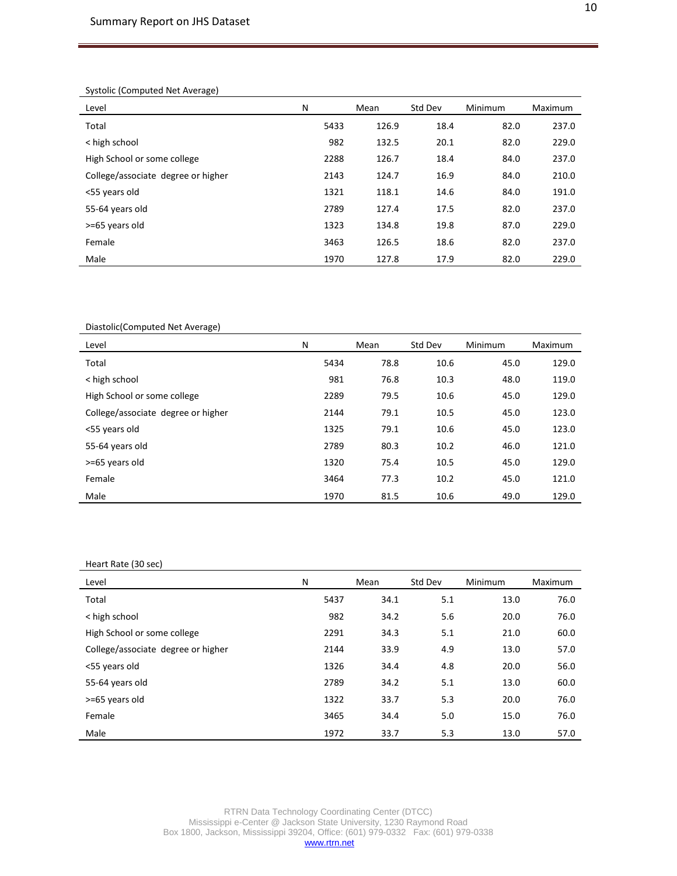#### Systolic (Computed Net Average)

| Level                              | N    | Mean  | Std Dev | Minimum | Maximum |
|------------------------------------|------|-------|---------|---------|---------|
| Total                              | 5433 | 126.9 | 18.4    | 82.0    | 237.0   |
| < high school                      | 982  | 132.5 | 20.1    | 82.0    | 229.0   |
| High School or some college        | 2288 | 126.7 | 18.4    | 84.0    | 237.0   |
| College/associate degree or higher | 2143 | 124.7 | 16.9    | 84.0    | 210.0   |
| <55 years old                      | 1321 | 118.1 | 14.6    | 84.0    | 191.0   |
| 55-64 years old                    | 2789 | 127.4 | 17.5    | 82.0    | 237.0   |
| >=65 years old                     | 1323 | 134.8 | 19.8    | 87.0    | 229.0   |
| Female                             | 3463 | 126.5 | 18.6    | 82.0    | 237.0   |
| Male                               | 1970 | 127.8 | 17.9    | 82.0    | 229.0   |

Diastolic(Computed Net Average)

| Level                              | N    | Mean | Std Dev | Minimum | <b>Maximum</b> |
|------------------------------------|------|------|---------|---------|----------------|
| Total                              | 5434 | 78.8 | 10.6    | 45.0    | 129.0          |
| < high school                      | 981  | 76.8 | 10.3    | 48.0    | 119.0          |
| High School or some college        | 2289 | 79.5 | 10.6    | 45.0    | 129.0          |
| College/associate degree or higher | 2144 | 79.1 | 10.5    | 45.0    | 123.0          |
| <55 years old                      | 1325 | 79.1 | 10.6    | 45.0    | 123.0          |
| 55-64 years old                    | 2789 | 80.3 | 10.2    | 46.0    | 121.0          |
| >=65 years old                     | 1320 | 75.4 | 10.5    | 45.0    | 129.0          |
| Female                             | 3464 | 77.3 | 10.2    | 45.0    | 121.0          |
| Male                               | 1970 | 81.5 | 10.6    | 49.0    | 129.0          |

#### Heart Rate (30 sec)

| Level                              | N    | Mean | Std Dev | Minimum | <b>Maximum</b> |
|------------------------------------|------|------|---------|---------|----------------|
| Total                              | 5437 | 34.1 | 5.1     | 13.0    | 76.0           |
| < high school                      | 982  | 34.2 | 5.6     | 20.0    | 76.0           |
| High School or some college        | 2291 | 34.3 | 5.1     | 21.0    | 60.0           |
| College/associate degree or higher | 2144 | 33.9 | 4.9     | 13.0    | 57.0           |
| <55 years old                      | 1326 | 34.4 | 4.8     | 20.0    | 56.0           |
| 55-64 years old                    | 2789 | 34.2 | 5.1     | 13.0    | 60.0           |
| >=65 years old                     | 1322 | 33.7 | 5.3     | 20.0    | 76.0           |
| Female                             | 3465 | 34.4 | 5.0     | 15.0    | 76.0           |
| Male                               | 1972 | 33.7 | 5.3     | 13.0    | 57.0           |

RTRN Data Technology Coordinating Center (DTCC) Mississippi e-Center @ Jackson State University, 1230 Raymond Road Box 1800, Jackson, Mississippi 39204, Office: (601) 979-0332 Fax: (601) 979-0338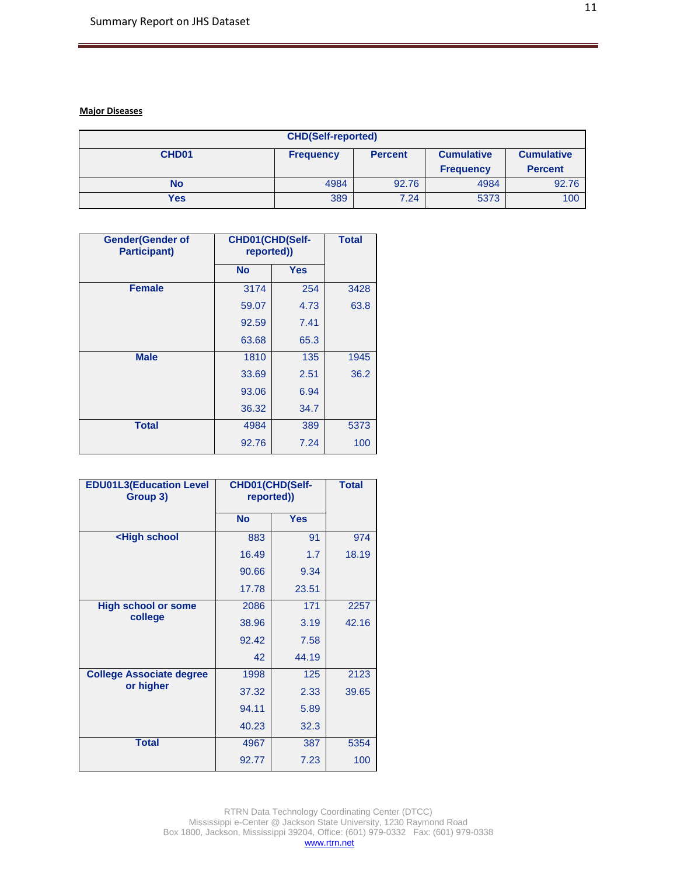## **Major Diseases**

| <b>CHD(Self-reported)</b> |                  |                |                   |                   |  |  |  |  |
|---------------------------|------------------|----------------|-------------------|-------------------|--|--|--|--|
| CHD <sub>01</sub>         | <b>Frequency</b> | <b>Percent</b> | <b>Cumulative</b> | <b>Cumulative</b> |  |  |  |  |
|                           |                  |                | <b>Frequency</b>  | <b>Percent</b>    |  |  |  |  |
| No                        | 4984             | 92.76          | 4984              | 92.76             |  |  |  |  |
| Yes                       | 389              | 7.24           | 5373              | 100               |  |  |  |  |

| <b>Gender</b> (Gender of<br><b>Participant)</b> | CHD01(CHD(Self-<br>reported)) | <b>Total</b> |      |
|-------------------------------------------------|-------------------------------|--------------|------|
|                                                 | <b>No</b>                     | <b>Yes</b>   |      |
| <b>Female</b>                                   | 3174                          | 254          | 3428 |
|                                                 | 59.07                         | 4.73         | 63.8 |
|                                                 | 92.59                         | 7.41         |      |
|                                                 | 63.68                         | 65.3         |      |
| <b>Male</b>                                     | 1810                          | 135          | 1945 |
|                                                 | 33.69                         | 2.51         | 36.2 |
|                                                 | 93.06                         | 6.94         |      |
|                                                 | 36.32                         | 34.7         |      |
| <b>Total</b>                                    | 4984                          | 389          | 5373 |
|                                                 | 92.76                         | 7.24         | 100  |

| <b>EDU01L3(Education Level</b><br>Group 3)                        |           | CHD01(CHD(Self-<br>reported)) |       |
|-------------------------------------------------------------------|-----------|-------------------------------|-------|
|                                                                   | <b>No</b> | <b>Yes</b>                    |       |
| <high school<="" th=""><th>883</th><th>91</th><th>974</th></high> | 883       | 91                            | 974   |
|                                                                   | 16.49     | 1.7                           | 18.19 |
|                                                                   | 90.66     | 9.34                          |       |
|                                                                   | 17.78     | 23.51                         |       |
| <b>High school or some</b><br>college                             | 2086      | 171                           | 2257  |
|                                                                   | 38.96     | 3.19                          | 42.16 |
|                                                                   | 92.42     | 7.58                          |       |
|                                                                   | 42        | 44.19                         |       |
| <b>College Associate degree</b>                                   | 1998      | 125                           | 2123  |
| or higher                                                         | 37.32     | 2.33                          | 39.65 |
|                                                                   | 94.11     | 5.89                          |       |
|                                                                   | 40.23     | 32.3                          |       |
| <b>Total</b>                                                      | 4967      | 387                           | 5354  |
|                                                                   | 92.77     | 7.23                          | 100   |

RTRN Data Technology Coordinating Center (DTCC) Mississippi e-Center @ Jackson State University, 1230 Raymond Road Box 1800, Jackson, Mississippi 39204, Office: (601) 979-0332 Fax: (601) 979-0338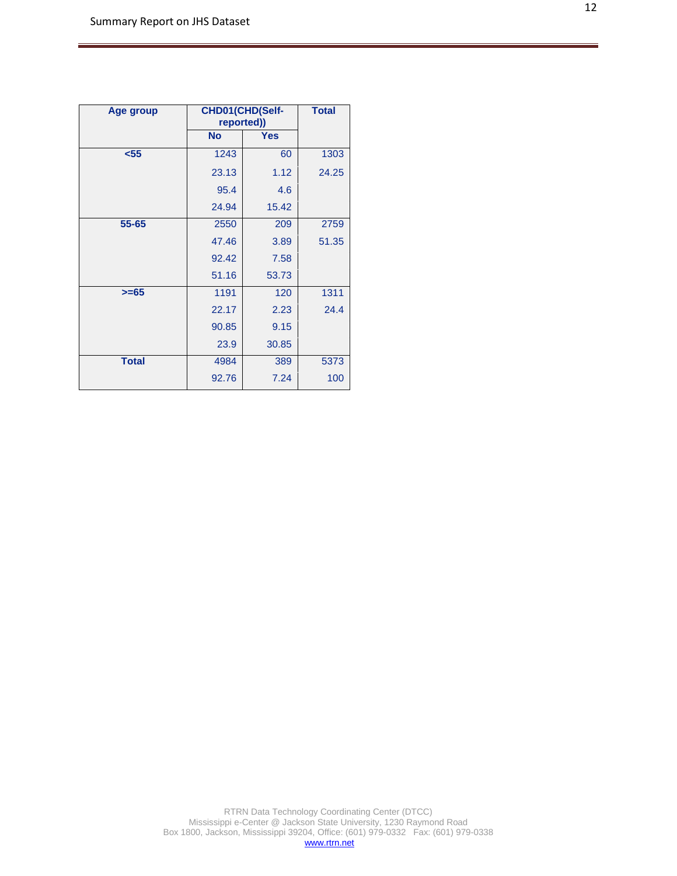| Age group    |           | CHD01(CHD(Self-<br>reported)) |       |
|--------------|-----------|-------------------------------|-------|
|              | <b>No</b> | <b>Yes</b>                    |       |
| $55$         | 1243      | 60                            | 1303  |
|              | 23.13     | 1.12                          | 24.25 |
|              | 95.4      | 4.6                           |       |
|              | 24.94     | 15.42                         |       |
| 55-65        | 2550      | 209                           | 2759  |
|              | 47.46     | 3.89                          | 51.35 |
|              | 92.42     | 7.58                          |       |
|              | 51.16     | 53.73                         |       |
| $>= 65$      | 1191      | 120                           | 1311  |
|              | 22.17     | 2.23                          | 24.4  |
|              | 90.85     | 9.15                          |       |
|              | 23.9      | 30.85                         |       |
| <b>Total</b> | 4984      | 389                           | 5373  |
|              | 92.76     | 7.24                          | 100   |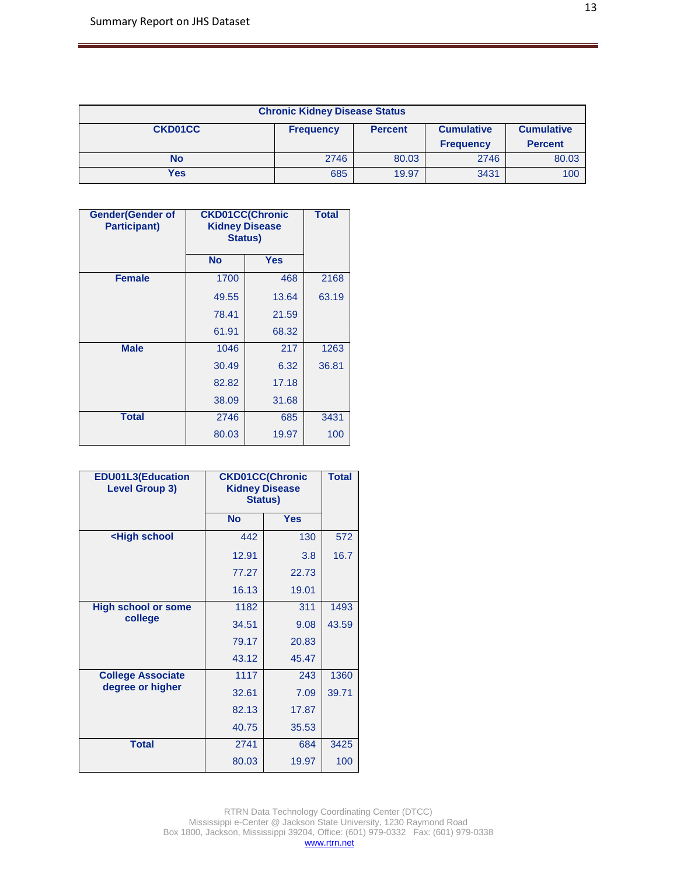| <b>Chronic Kidney Disease Status</b>                                                           |      |       |                  |                |
|------------------------------------------------------------------------------------------------|------|-------|------------------|----------------|
| <b>CKD01CC</b><br><b>Cumulative</b><br><b>Cumulative</b><br><b>Percent</b><br><b>Frequency</b> |      |       |                  |                |
|                                                                                                |      |       | <b>Frequency</b> | <b>Percent</b> |
| <b>No</b>                                                                                      | 2746 | 80.03 | 2746             | 80.03          |
| Yes                                                                                            | 685  | 19.97 | 3431             | 100            |

| <b>Gender(Gender of</b><br><b>Participant)</b> | <b>CKD01CC(Chronic</b><br><b>Kidney Disease</b><br><b>Status)</b> |            | <b>Total</b> |
|------------------------------------------------|-------------------------------------------------------------------|------------|--------------|
|                                                | <b>No</b>                                                         | <b>Yes</b> |              |
| <b>Female</b>                                  | 1700                                                              | 468        | 2168         |
|                                                | 49.55                                                             | 13.64      | 63.19        |
|                                                | 78.41                                                             | 21.59      |              |
|                                                | 61.91                                                             | 68.32      |              |
| <b>Male</b>                                    | 1046                                                              | 217        | 1263         |
|                                                | 30.49                                                             | 6.32       | 36.81        |
|                                                | 82.82                                                             | 17.18      |              |
|                                                | 38.09                                                             | 31.68      |              |
| <b>Total</b>                                   | 2746                                                              | 685        | 3431         |
|                                                | 80.03                                                             | 19.97      | 100          |

| <b>EDU01L3(Education</b><br><b>Level Group 3)</b>                  |           | <b>CKD01CC(Chronic</b><br><b>Kidney Disease</b><br>Status) |       |
|--------------------------------------------------------------------|-----------|------------------------------------------------------------|-------|
|                                                                    | <b>No</b> | <b>Yes</b>                                                 |       |
| <high school<="" th=""><th>442</th><th>130</th><th>572</th></high> | 442       | 130                                                        | 572   |
|                                                                    | 12.91     | 3.8                                                        | 16.7  |
|                                                                    | 77.27     | 22.73                                                      |       |
|                                                                    | 16.13     | 19.01                                                      |       |
| <b>High school or some</b><br>college                              | 1182      | 311                                                        | 1493  |
|                                                                    | 34.51     | 9.08                                                       | 43.59 |
|                                                                    | 79.17     | 20.83                                                      |       |
|                                                                    | 43.12     | 45.47                                                      |       |
| <b>College Associate</b>                                           | 1117      | 243                                                        | 1360  |
| degree or higher                                                   | 32.61     | 7.09                                                       | 39.71 |
|                                                                    | 82.13     | 17.87                                                      |       |
|                                                                    | 40.75     | 35.53                                                      |       |
| <b>Total</b>                                                       | 2741      | 684                                                        | 3425  |
|                                                                    | 80.03     | 19.97                                                      | 100   |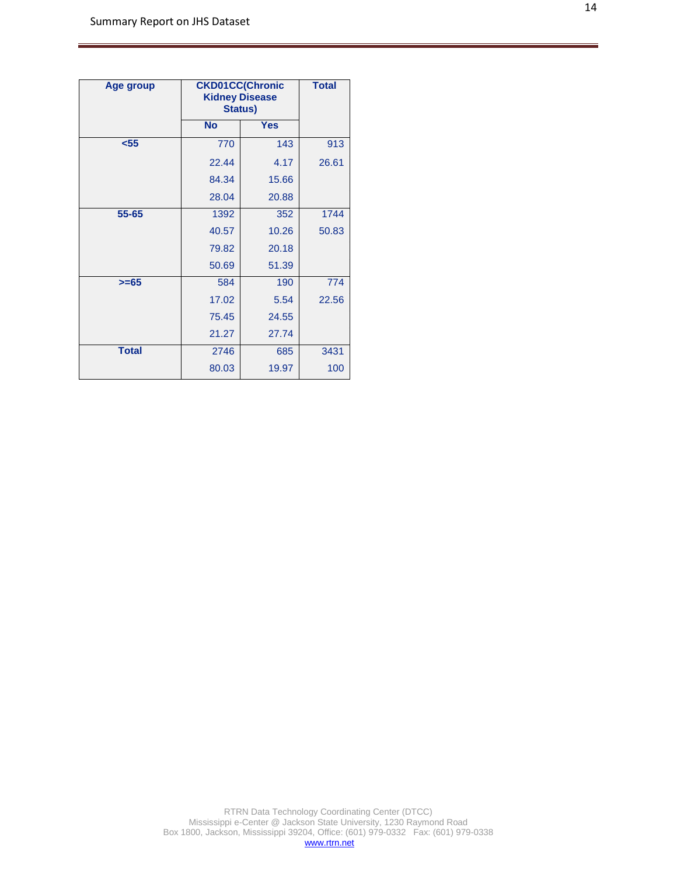| Age group    | <b>CKD01CC(Chronic</b><br><b>Kidney Disease</b><br><b>Status)</b> |            | <b>Total</b> |
|--------------|-------------------------------------------------------------------|------------|--------------|
|              | <b>No</b>                                                         | <b>Yes</b> |              |
| $55$         | 770                                                               | 143        | 913          |
|              | 22.44                                                             | 4.17       | 26.61        |
|              | 84.34                                                             | 15.66      |              |
|              | 28.04                                                             | 20.88      |              |
| 55-65        | 1392                                                              | 352        | 1744         |
|              | 40.57                                                             | 10.26      | 50.83        |
|              | 79.82                                                             | 20.18      |              |
|              | 50.69                                                             | 51.39      |              |
| $>= 65$      | 584                                                               | 190        | 774          |
|              | 17.02                                                             | 5.54       | 22.56        |
|              | 75.45                                                             | 24.55      |              |
|              | 21.27                                                             | 27.74      |              |
| <b>Total</b> | 2746                                                              | 685        | 3431         |
|              | 80.03                                                             | 19.97      | 100          |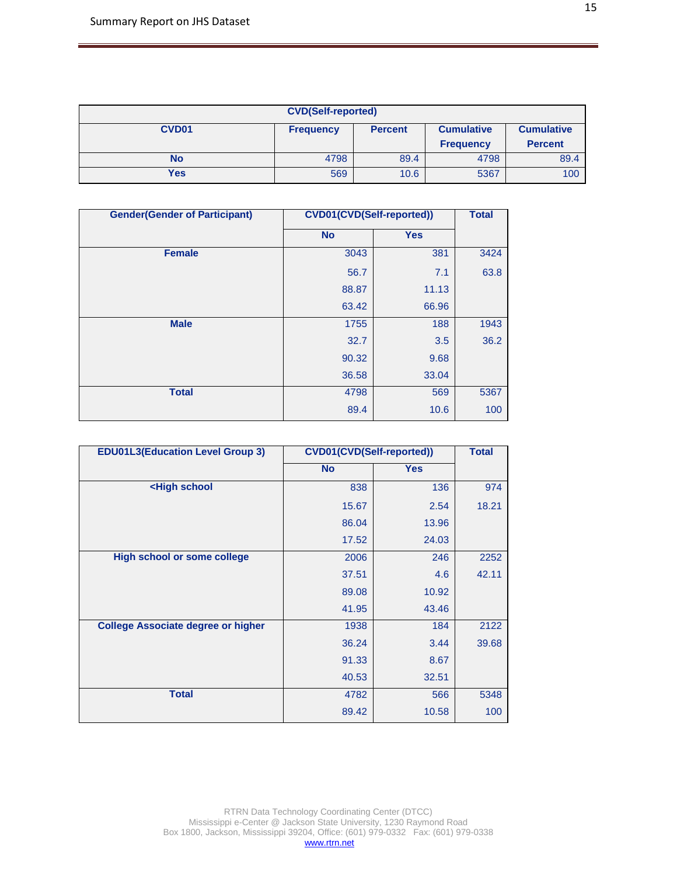| <b>CVD(Self-reported)</b>                                                                         |      |      |                  |                |
|---------------------------------------------------------------------------------------------------|------|------|------------------|----------------|
| CVD <sub>01</sub><br><b>Cumulative</b><br><b>Frequency</b><br><b>Cumulative</b><br><b>Percent</b> |      |      |                  |                |
|                                                                                                   |      |      | <b>Frequency</b> | <b>Percent</b> |
| No                                                                                                | 4798 | 89.4 | 4798             | 89.4           |
| Yes                                                                                               | 569  | 10.6 | 5367             | 100            |

| <b>Gender(Gender of Participant)</b> |           | <b>CVD01(CVD(Self-reported))</b> |      |  |
|--------------------------------------|-----------|----------------------------------|------|--|
|                                      | <b>No</b> | <b>Yes</b>                       |      |  |
| <b>Female</b>                        | 3043      | 381                              | 3424 |  |
|                                      | 56.7      | 7.1                              | 63.8 |  |
|                                      | 88.87     | 11.13                            |      |  |
|                                      | 63.42     | 66.96                            |      |  |
| <b>Male</b>                          | 1755      | 188                              | 1943 |  |
|                                      | 32.7      | 3.5                              | 36.2 |  |
|                                      | 90.32     | 9.68                             |      |  |
|                                      | 36.58     | 33.04                            |      |  |
| <b>Total</b>                         | 4798      | 569                              | 5367 |  |
|                                      | 89.4      | 10.6                             | 100  |  |

| <b>EDU01L3(Education Level Group 3)</b>                            |           | <b>CVD01(CVD(Self-reported))</b> |       |  |
|--------------------------------------------------------------------|-----------|----------------------------------|-------|--|
|                                                                    | <b>No</b> | <b>Yes</b>                       |       |  |
| <high school<="" th=""><th>838</th><th>136</th><th>974</th></high> | 838       | 136                              | 974   |  |
|                                                                    | 15.67     | 2.54                             | 18.21 |  |
|                                                                    | 86.04     | 13.96                            |       |  |
|                                                                    | 17.52     | 24.03                            |       |  |
| <b>High school or some college</b>                                 | 2006      | 246                              | 2252  |  |
|                                                                    | 37.51     | 4.6                              | 42.11 |  |
|                                                                    | 89.08     | 10.92                            |       |  |
|                                                                    | 41.95     | 43.46                            |       |  |
| <b>College Associate degree or higher</b>                          | 1938      | 184                              | 2122  |  |
|                                                                    | 36.24     | 3.44                             | 39.68 |  |
|                                                                    | 91.33     | 8.67                             |       |  |
|                                                                    | 40.53     | 32.51                            |       |  |
| <b>Total</b>                                                       | 4782      | 566                              | 5348  |  |
|                                                                    | 89.42     | 10.58                            | 100   |  |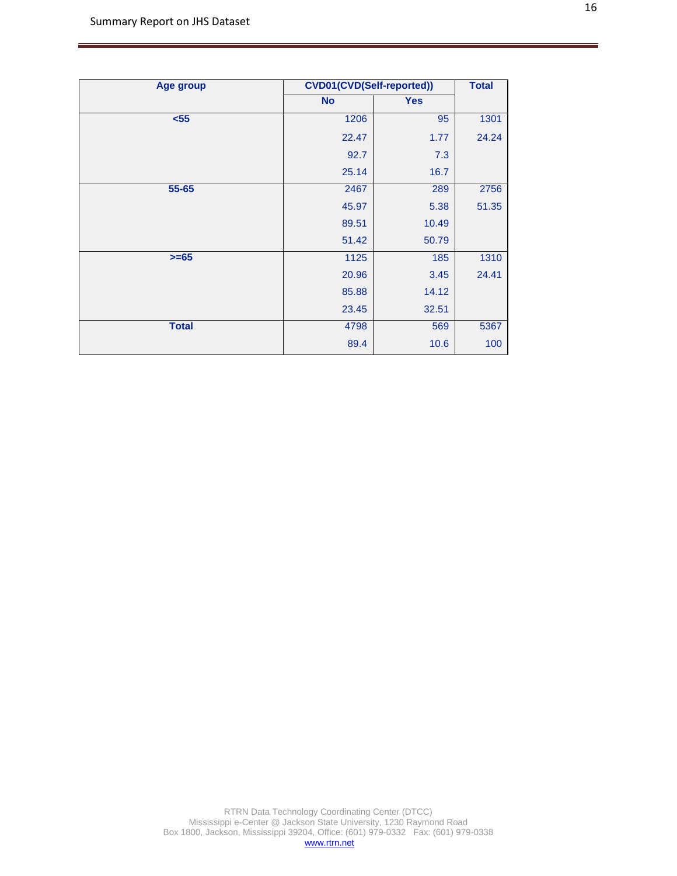| Age group    |           | <b>CVD01(CVD(Self-reported))</b> |       |  |
|--------------|-----------|----------------------------------|-------|--|
|              | <b>No</b> | <b>Yes</b>                       |       |  |
| $55$         | 1206      | 95                               | 1301  |  |
|              | 22.47     | 1.77                             | 24.24 |  |
|              | 92.7      | 7.3                              |       |  |
|              | 25.14     | 16.7                             |       |  |
| 55-65        | 2467      | 289                              | 2756  |  |
|              | 45.97     | 5.38                             | 51.35 |  |
|              | 89.51     | 10.49                            |       |  |
|              | 51.42     | 50.79                            |       |  |
| $>= 65$      | 1125      | 185                              | 1310  |  |
|              | 20.96     | 3.45                             | 24.41 |  |
|              | 85.88     | 14.12                            |       |  |
|              | 23.45     | 32.51                            |       |  |
| <b>Total</b> | 4798      | 569                              | 5367  |  |
|              | 89.4      | 10.6                             | 100   |  |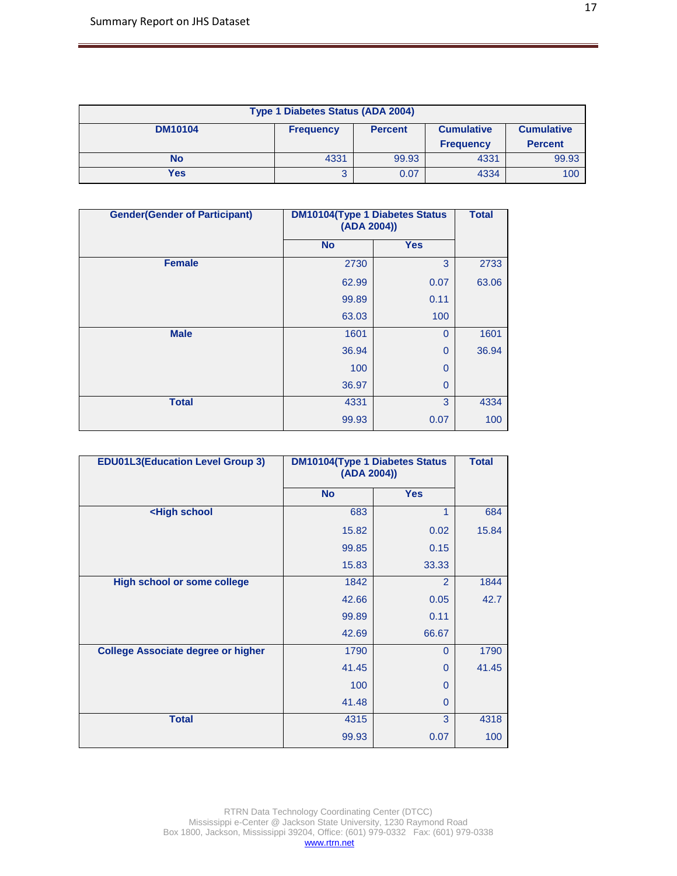| <b>Type 1 Diabetes Status (ADA 2004)</b>                                                       |      |       |                  |                |
|------------------------------------------------------------------------------------------------|------|-------|------------------|----------------|
| <b>DM10104</b><br><b>Cumulative</b><br><b>Cumulative</b><br><b>Percent</b><br><b>Frequency</b> |      |       |                  |                |
|                                                                                                |      |       | <b>Frequency</b> | <b>Percent</b> |
| No                                                                                             | 4331 | 99.93 | 4331             | 99.93          |
| Yes                                                                                            |      | 0.07  | 4334             | 100            |

| <b>Gender (Gender of Participant)</b> | <b>DM10104(Type 1 Diabetes Status</b><br>(ADA 2004)) | <b>Total</b> |       |
|---------------------------------------|------------------------------------------------------|--------------|-------|
|                                       | <b>No</b>                                            | <b>Yes</b>   |       |
| <b>Female</b>                         | 2730                                                 | 3            | 2733  |
|                                       | 62.99                                                | 0.07         | 63.06 |
|                                       | 99.89                                                | 0.11         |       |
|                                       | 63.03                                                | 100          |       |
| <b>Male</b>                           | 1601                                                 | $\mathbf{0}$ | 1601  |
|                                       | 36.94                                                | $\mathbf 0$  | 36.94 |
|                                       | 100                                                  | $\mathbf 0$  |       |
|                                       | 36.97                                                | $\mathbf 0$  |       |
| <b>Total</b>                          | 4331                                                 | 3            | 4334  |
|                                       | 99.93                                                | 0.07         | 100   |

| <b>EDU01L3(Education Level Group 3)</b>                          | <b>DM10104(Type 1 Diabetes Status</b><br>(ADA 2004)) | <b>Total</b> |       |
|------------------------------------------------------------------|------------------------------------------------------|--------------|-------|
|                                                                  | <b>No</b>                                            | <b>Yes</b>   |       |
| <high school<="" th=""><th>683</th><th>1</th><th>684</th></high> | 683                                                  | 1            | 684   |
|                                                                  | 15.82                                                | 0.02         | 15.84 |
|                                                                  | 99.85                                                | 0.15         |       |
|                                                                  | 15.83                                                | 33.33        |       |
| <b>High school or some college</b>                               | 1842                                                 | 2            | 1844  |
|                                                                  | 42.66                                                | 0.05         | 42.7  |
|                                                                  | 99.89                                                | 0.11         |       |
|                                                                  | 42.69                                                | 66.67        |       |
| <b>College Associate degree or higher</b>                        | 1790                                                 | $\Omega$     | 1790  |
|                                                                  | 41.45                                                | 0            | 41.45 |
|                                                                  | 100                                                  | 0            |       |
|                                                                  | 41.48                                                | 0            |       |
| <b>Total</b>                                                     | 4315                                                 | 3            | 4318  |
|                                                                  | 99.93                                                | 0.07         | 100   |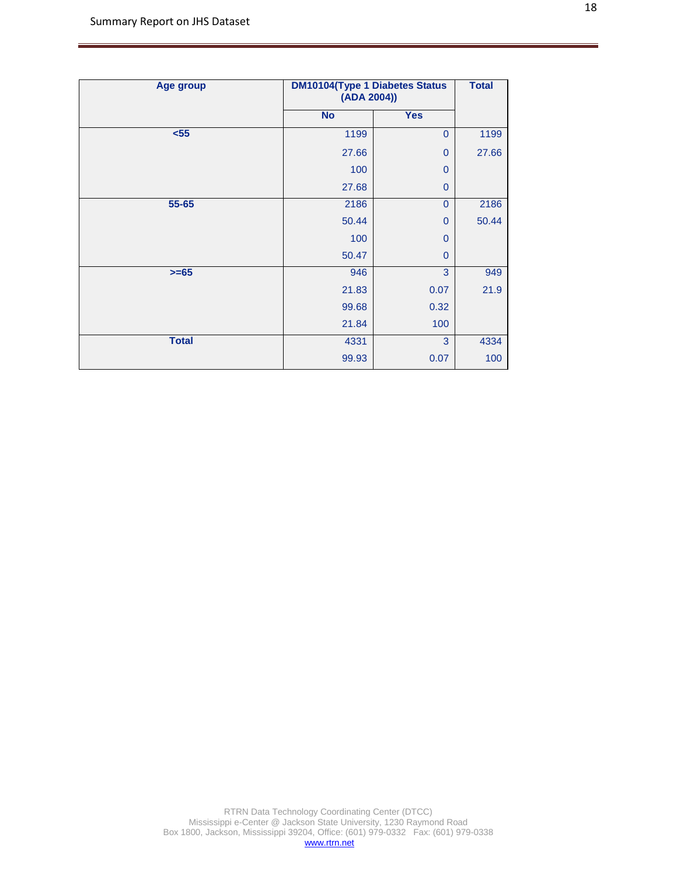| <b>Age group</b> | <b>DM10104(Type 1 Diabetes Status</b><br>(ADA 2004)) | <b>Total</b> |       |
|------------------|------------------------------------------------------|--------------|-------|
|                  | <b>No</b>                                            | <b>Yes</b>   |       |
| $55$             | 1199                                                 | $\mathbf{0}$ | 1199  |
|                  | 27.66                                                | $\mathbf{0}$ | 27.66 |
|                  | 100                                                  | $\mathbf{0}$ |       |
|                  | 27.68                                                | $\mathbf{0}$ |       |
| 55-65            | 2186                                                 | $\mathbf{0}$ | 2186  |
|                  | 50.44                                                | $\mathbf{0}$ | 50.44 |
|                  | 100                                                  | $\mathbf{0}$ |       |
|                  | 50.47                                                | $\mathbf{0}$ |       |
| $>= 65$          | 946                                                  | 3            | 949   |
|                  | 21.83                                                | 0.07         | 21.9  |
|                  | 99.68                                                | 0.32         |       |
|                  | 21.84                                                | 100          |       |
| <b>Total</b>     | 4331                                                 | 3            | 4334  |
|                  | 99.93                                                | 0.07         | 100   |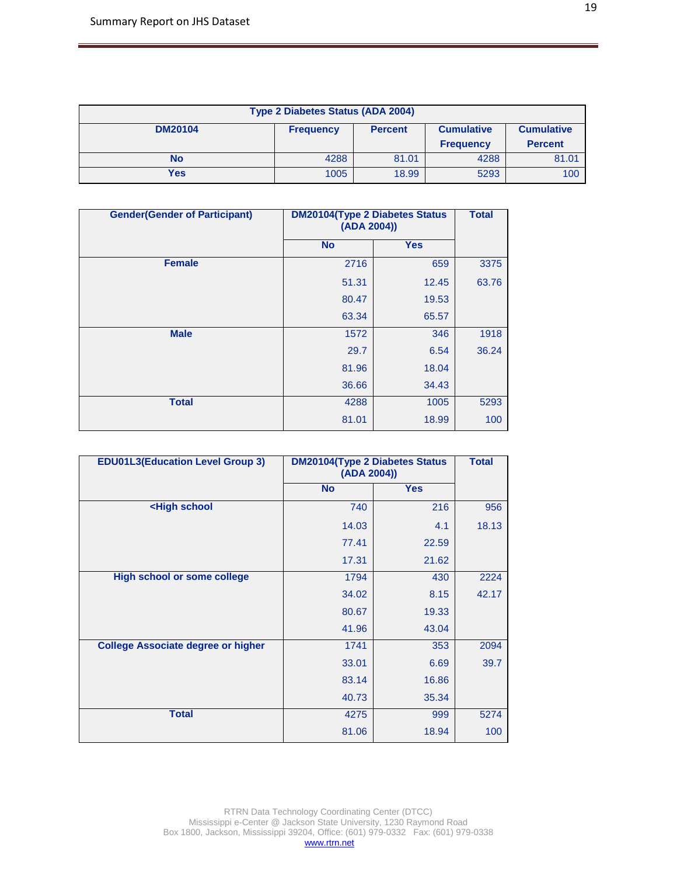| <b>Type 2 Diabetes Status (ADA 2004)</b>                                                       |      |       |      |       |  |
|------------------------------------------------------------------------------------------------|------|-------|------|-------|--|
| <b>DM20104</b><br><b>Cumulative</b><br><b>Cumulative</b><br><b>Percent</b><br><b>Frequency</b> |      |       |      |       |  |
| <b>Percent</b><br><b>Frequency</b>                                                             |      |       |      |       |  |
| No                                                                                             | 4288 | 81.01 | 4288 | 81.01 |  |
| Yes                                                                                            | 1005 | 18.99 | 5293 | 100   |  |

| <b>Gender(Gender of Participant)</b> | <b>DM20104(Type 2 Diabetes Status</b><br>(ADA 2004)) | <b>Total</b> |       |
|--------------------------------------|------------------------------------------------------|--------------|-------|
|                                      | <b>No</b>                                            | <b>Yes</b>   |       |
| <b>Female</b>                        | 2716                                                 | 659          | 3375  |
|                                      | 51.31                                                | 12.45        | 63.76 |
|                                      | 80.47                                                | 19.53        |       |
|                                      | 63.34                                                | 65.57        |       |
| <b>Male</b>                          | 1572                                                 | 346          | 1918  |
|                                      | 29.7                                                 | 6.54         | 36.24 |
|                                      | 81.96                                                | 18.04        |       |
|                                      | 36.66                                                | 34.43        |       |
| <b>Total</b>                         | 4288                                                 | 1005         | 5293  |
|                                      | 81.01                                                | 18.99        | 100   |

| <b>EDU01L3(Education Level Group 3)</b>                            | <b>DM20104(Type 2 Diabetes Status</b><br>(ADA 2004)) | <b>Total</b> |       |
|--------------------------------------------------------------------|------------------------------------------------------|--------------|-------|
|                                                                    | <b>No</b>                                            | <b>Yes</b>   |       |
| <high school<="" th=""><th>740</th><th>216</th><th>956</th></high> | 740                                                  | 216          | 956   |
|                                                                    | 14.03                                                | 4.1          | 18.13 |
|                                                                    | 77.41                                                | 22.59        |       |
|                                                                    | 17.31                                                | 21.62        |       |
| <b>High school or some college</b>                                 | 1794                                                 | 430          | 2224  |
|                                                                    | 34.02                                                | 8.15         | 42.17 |
|                                                                    | 80.67                                                | 19.33        |       |
|                                                                    | 41.96                                                | 43.04        |       |
| <b>College Associate degree or higher</b>                          | 1741                                                 | 353          | 2094  |
|                                                                    | 33.01                                                | 6.69         | 39.7  |
|                                                                    | 83.14                                                | 16.86        |       |
|                                                                    | 40.73                                                | 35.34        |       |
| <b>Total</b>                                                       | 4275                                                 | 999          | 5274  |
|                                                                    | 81.06                                                | 18.94        | 100   |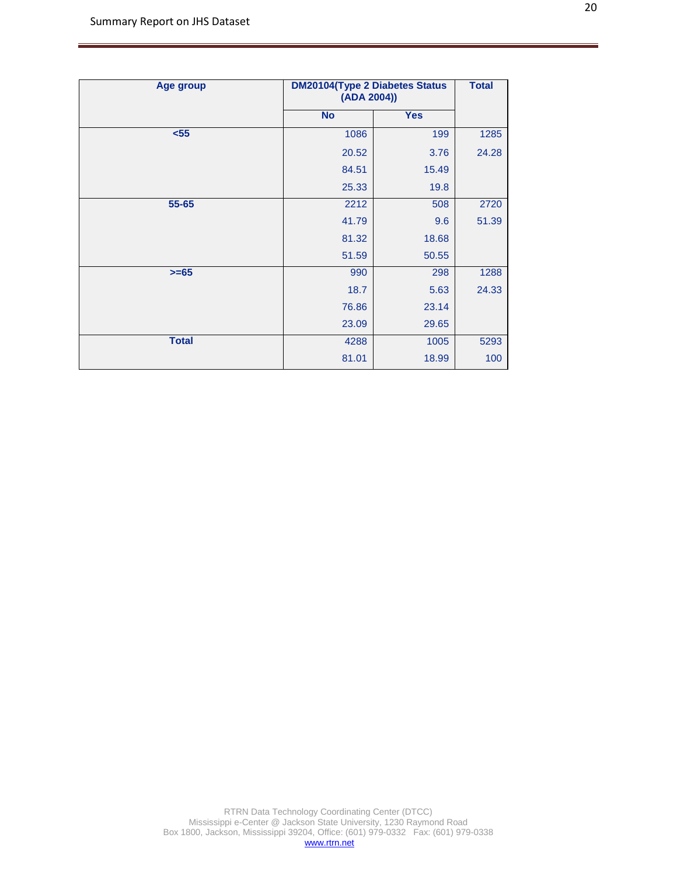| Age group    | <b>DM20104(Type 2 Diabetes Status</b><br>(ADA 2004)) | <b>Total</b> |       |
|--------------|------------------------------------------------------|--------------|-------|
|              | <b>No</b>                                            | <b>Yes</b>   |       |
| $55$         | 1086                                                 | 199          | 1285  |
|              | 20.52                                                | 3.76         | 24.28 |
|              | 84.51                                                | 15.49        |       |
|              | 25.33                                                | 19.8         |       |
| 55-65        | 2212                                                 | 508          | 2720  |
|              | 41.79                                                | 9.6          | 51.39 |
|              | 81.32                                                | 18.68        |       |
|              | 51.59                                                | 50.55        |       |
| $>= 65$      | 990                                                  | 298          | 1288  |
|              | 18.7                                                 | 5.63         | 24.33 |
|              | 76.86                                                | 23.14        |       |
|              | 23.09                                                | 29.65        |       |
| <b>Total</b> | 4288                                                 | 1005         | 5293  |
|              | 81.01                                                | 18.99        | 100   |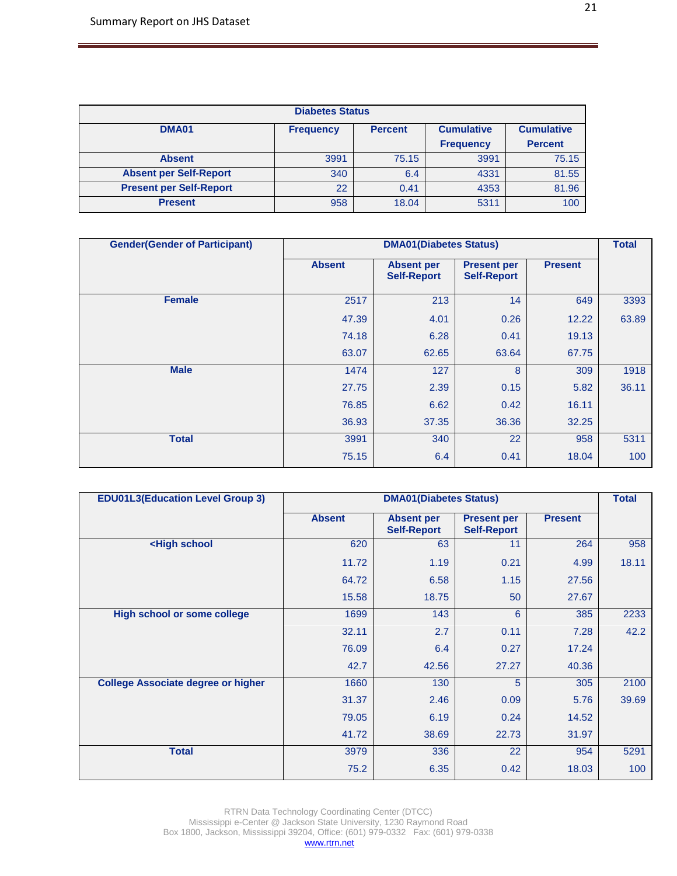| <b>Diabetes Status</b>         |                                                         |       |                  |                   |
|--------------------------------|---------------------------------------------------------|-------|------------------|-------------------|
| <b>DMA01</b>                   | <b>Cumulative</b><br><b>Frequency</b><br><b>Percent</b> |       |                  | <b>Cumulative</b> |
|                                |                                                         |       | <b>Frequency</b> | <b>Percent</b>    |
| <b>Absent</b>                  | 3991                                                    | 75.15 | 3991             | 75.15             |
| <b>Absent per Self-Report</b>  | 340                                                     | 6.4   | 4331             | 81.55             |
| <b>Present per Self-Report</b> | 22                                                      | 0.41  | 4353             | 81.96             |
| <b>Present</b>                 | 958                                                     | 18.04 | 5311             | 100               |

| <b>Gender (Gender of Participant)</b> |               | <b>DMA01(Diabetes Status)</b>           |                                          |                |       |
|---------------------------------------|---------------|-----------------------------------------|------------------------------------------|----------------|-------|
|                                       | <b>Absent</b> | <b>Absent per</b><br><b>Self-Report</b> | <b>Present per</b><br><b>Self-Report</b> | <b>Present</b> |       |
| <b>Female</b>                         | 2517          | 213                                     | 14                                       | 649            | 3393  |
|                                       | 47.39         | 4.01                                    | 0.26                                     | 12.22          | 63.89 |
|                                       | 74.18         | 6.28                                    | 0.41                                     | 19.13          |       |
|                                       | 63.07         | 62.65                                   | 63.64                                    | 67.75          |       |
| <b>Male</b>                           | 1474          | 127                                     | 8                                        | 309            | 1918  |
|                                       | 27.75         | 2.39                                    | 0.15                                     | 5.82           | 36.11 |
|                                       | 76.85         | 6.62                                    | 0.42                                     | 16.11          |       |
|                                       | 36.93         | 37.35                                   | 36.36                                    | 32.25          |       |
| <b>Total</b>                          | 3991          | 340                                     | 22                                       | 958            | 5311  |
|                                       | 75.15         | 6.4                                     | 0.41                                     | 18.04          | 100   |

| <b>EDU01L3(Education Level Group 3)</b>                                                  |               | <b>DMA01(Diabetes Status)</b>           |                                          |                |       |
|------------------------------------------------------------------------------------------|---------------|-----------------------------------------|------------------------------------------|----------------|-------|
|                                                                                          | <b>Absent</b> | <b>Absent per</b><br><b>Self-Report</b> | <b>Present per</b><br><b>Self-Report</b> | <b>Present</b> |       |
| <high school<="" th=""><th>620</th><th>63</th><th>11</th><th>264</th><th>958</th></high> | 620           | 63                                      | 11                                       | 264            | 958   |
|                                                                                          | 11.72         | 1.19                                    | 0.21                                     | 4.99           | 18.11 |
|                                                                                          | 64.72         | 6.58                                    | 1.15                                     | 27.56          |       |
|                                                                                          | 15.58         | 18.75                                   | 50                                       | 27.67          |       |
| <b>High school or some college</b>                                                       | 1699          | 143                                     | 6                                        | 385            | 2233  |
|                                                                                          | 32.11         | 2.7                                     | 0.11                                     | 7.28           | 42.2  |
|                                                                                          | 76.09         | 6.4                                     | 0.27                                     | 17.24          |       |
|                                                                                          | 42.7          | 42.56                                   | 27.27                                    | 40.36          |       |
| <b>College Associate degree or higher</b>                                                | 1660          | 130                                     | 5                                        | 305            | 2100  |
|                                                                                          | 31.37         | 2.46                                    | 0.09                                     | 5.76           | 39.69 |
|                                                                                          | 79.05         | 6.19                                    | 0.24                                     | 14.52          |       |
|                                                                                          | 41.72         | 38.69                                   | 22.73                                    | 31.97          |       |
| <b>Total</b>                                                                             | 3979          | 336                                     | 22                                       | 954            | 5291  |
|                                                                                          | 75.2          | 6.35                                    | 0.42                                     | 18.03          | 100   |

RTRN Data Technology Coordinating Center (DTCC) Mississippi e-Center @ Jackson State University, 1230 Raymond Road Box 1800, Jackson, Mississippi 39204, Office: (601) 979-0332 Fax: (601) 979-0338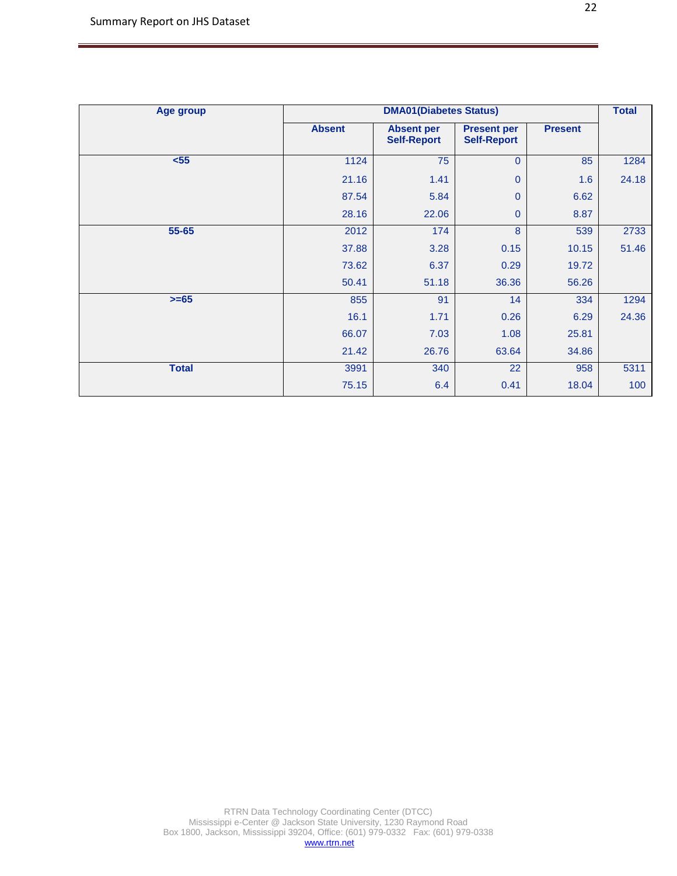| Age group    |               | <b>DMA01(Diabetes Status)</b>           |                                          |                | <b>Total</b> |
|--------------|---------------|-----------------------------------------|------------------------------------------|----------------|--------------|
|              | <b>Absent</b> | <b>Absent per</b><br><b>Self-Report</b> | <b>Present per</b><br><b>Self-Report</b> | <b>Present</b> |              |
| $55$         | 1124          | 75                                      | $\overline{0}$                           | 85             | 1284         |
|              | 21.16         | 1.41                                    | $\mathbf{0}$                             | 1.6            | 24.18        |
|              | 87.54         | 5.84                                    | $\overline{0}$                           | 6.62           |              |
|              | 28.16         | 22.06                                   | $\mathbf{0}$                             | 8.87           |              |
| 55-65        | 2012          | 174                                     | 8                                        | 539            | 2733         |
|              | 37.88         | 3.28                                    | 0.15                                     | 10.15          | 51.46        |
|              | 73.62         | 6.37                                    | 0.29                                     | 19.72          |              |
|              | 50.41         | 51.18                                   | 36.36                                    | 56.26          |              |
| $>= 65$      | 855           | 91                                      | 14                                       | 334            | 1294         |
|              | 16.1          | 1.71                                    | 0.26                                     | 6.29           | 24.36        |
|              | 66.07         | 7.03                                    | 1.08                                     | 25.81          |              |
|              | 21.42         | 26.76                                   | 63.64                                    | 34.86          |              |
| <b>Total</b> | 3991          | 340                                     | 22                                       | 958            | 5311         |
|              | 75.15         | 6.4                                     | 0.41                                     | 18.04          | 100          |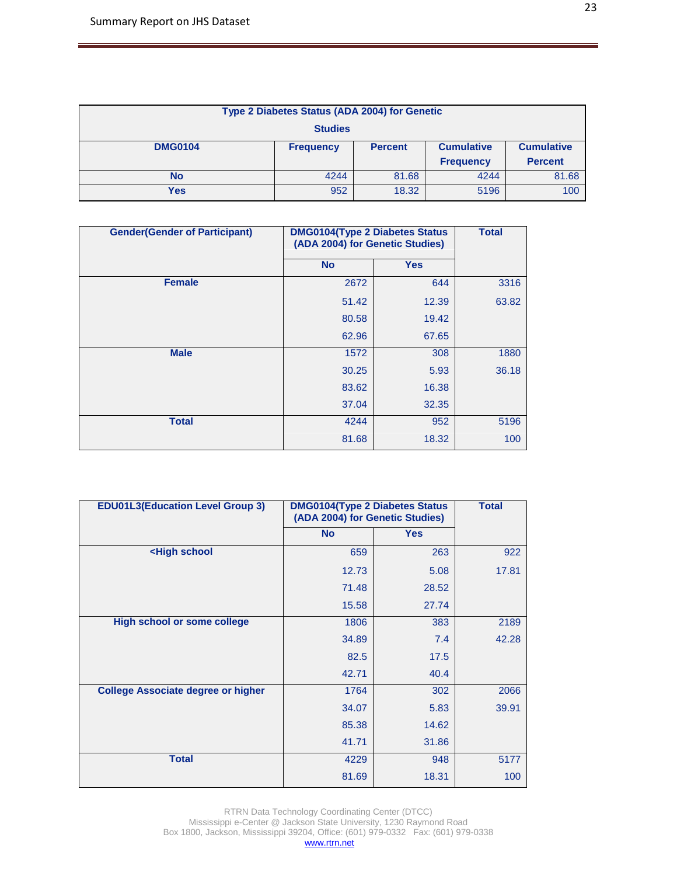| Type 2 Diabetes Status (ADA 2004) for Genetic |                                                                              |       |      |       |  |
|-----------------------------------------------|------------------------------------------------------------------------------|-------|------|-------|--|
| <b>Studies</b>                                |                                                                              |       |      |       |  |
| <b>DMG0104</b>                                | <b>Cumulative</b><br><b>Cumulative</b><br><b>Percent</b><br><b>Frequency</b> |       |      |       |  |
|                                               | <b>Percent</b><br><b>Frequency</b>                                           |       |      |       |  |
| <b>No</b>                                     | 4244                                                                         | 81.68 | 4244 | 81.68 |  |
| Yes                                           | 952                                                                          | 18.32 | 5196 | 100   |  |

| <b>Gender (Gender of Participant)</b> | <b>DMG0104(Type 2 Diabetes Status</b><br>(ADA 2004) for Genetic Studies) | <b>Total</b> |       |
|---------------------------------------|--------------------------------------------------------------------------|--------------|-------|
|                                       | <b>No</b>                                                                | <b>Yes</b>   |       |
| <b>Female</b>                         | 2672                                                                     | 644          | 3316  |
|                                       | 51.42                                                                    | 12.39        | 63.82 |
|                                       | 80.58                                                                    | 19.42        |       |
|                                       | 62.96                                                                    | 67.65        |       |
| <b>Male</b>                           | 1572                                                                     | 308          | 1880  |
|                                       | 30.25                                                                    | 5.93         | 36.18 |
|                                       | 83.62                                                                    | 16.38        |       |
|                                       | 37.04                                                                    | 32.35        |       |
| <b>Total</b>                          | 4244                                                                     | 952          | 5196  |
|                                       | 81.68                                                                    | 18.32        | 100   |

| <b>EDU01L3(Education Level Group 3)</b>                            | <b>DMG0104(Type 2 Diabetes Status</b><br>(ADA 2004) for Genetic Studies) |            | <b>Total</b> |
|--------------------------------------------------------------------|--------------------------------------------------------------------------|------------|--------------|
|                                                                    | <b>No</b>                                                                | <b>Yes</b> |              |
| <high school<="" th=""><th>659</th><th>263</th><th>922</th></high> | 659                                                                      | 263        | 922          |
|                                                                    | 12.73                                                                    | 5.08       | 17.81        |
|                                                                    | 71.48                                                                    | 28.52      |              |
|                                                                    | 15.58                                                                    | 27.74      |              |
| <b>High school or some college</b>                                 | 1806                                                                     | 383        | 2189         |
|                                                                    | 34.89                                                                    | 7.4        | 42.28        |
|                                                                    | 82.5                                                                     | 17.5       |              |
|                                                                    | 42.71                                                                    | 40.4       |              |
| <b>College Associate degree or higher</b>                          | 1764                                                                     | 302        | 2066         |
|                                                                    | 34.07                                                                    | 5.83       | 39.91        |
|                                                                    | 85.38                                                                    | 14.62      |              |
|                                                                    | 41.71                                                                    | 31.86      |              |
| <b>Total</b>                                                       | 4229                                                                     | 948        | 5177         |
|                                                                    | 81.69                                                                    | 18.31      | 100          |

RTRN Data Technology Coordinating Center (DTCC) Mississippi e-Center @ Jackson State University, 1230 Raymond Road Box 1800, Jackson, Mississippi 39204, Office: (601) 979-0332 Fax: (601) 979-0338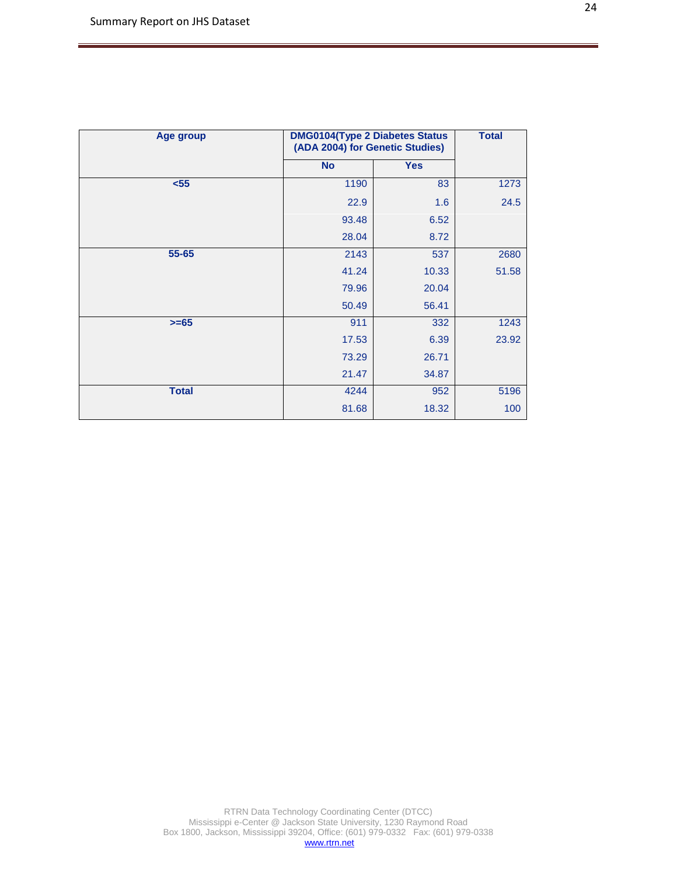| <b>Age group</b> | <b>DMG0104(Type 2 Diabetes Status</b><br>(ADA 2004) for Genetic Studies) | <b>Total</b> |       |
|------------------|--------------------------------------------------------------------------|--------------|-------|
|                  | <b>No</b>                                                                | <b>Yes</b>   |       |
| $55$             | 1190                                                                     | 83           | 1273  |
|                  | 22.9                                                                     | 1.6          | 24.5  |
|                  | 93.48                                                                    | 6.52         |       |
|                  | 28.04                                                                    | 8.72         |       |
| 55-65            | 2143                                                                     | 537          | 2680  |
|                  | 41.24                                                                    | 10.33        | 51.58 |
|                  | 79.96                                                                    | 20.04        |       |
|                  | 50.49                                                                    | 56.41        |       |
| $>= 65$          | 911                                                                      | 332          | 1243  |
|                  | 17.53                                                                    | 6.39         | 23.92 |
|                  | 73.29                                                                    | 26.71        |       |
|                  | 21.47                                                                    | 34.87        |       |
| <b>Total</b>     | 4244                                                                     | 952          | 5196  |
|                  | 81.68                                                                    | 18.32        | 100   |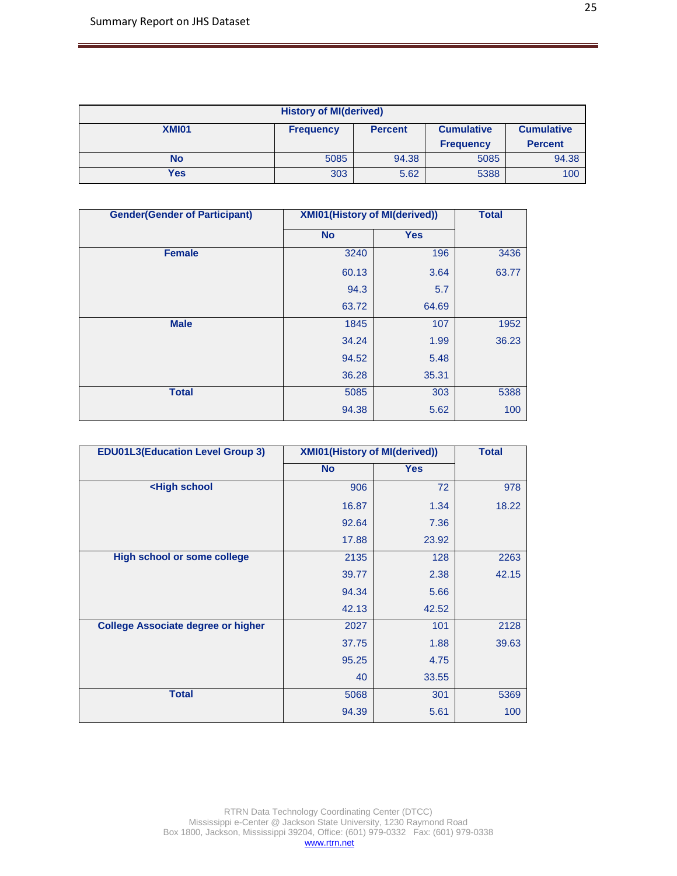| <b>History of MI(derived)</b>                                                         |                                    |       |      |       |  |
|---------------------------------------------------------------------------------------|------------------------------------|-------|------|-------|--|
| XMI01<br><b>Cumulative</b><br><b>Cumulative</b><br><b>Percent</b><br><b>Frequency</b> |                                    |       |      |       |  |
|                                                                                       | <b>Percent</b><br><b>Frequency</b> |       |      |       |  |
| No                                                                                    | 5085                               | 94.38 | 5085 | 94.38 |  |
| Yes                                                                                   | 303                                | 5.62  | 5388 | 100   |  |

| <b>Gender(Gender of Participant)</b> | <b>XMI01(History of MI(derived))</b> |            | <b>Total</b> |
|--------------------------------------|--------------------------------------|------------|--------------|
|                                      | <b>No</b>                            | <b>Yes</b> |              |
| <b>Female</b>                        | 3240                                 | 196        | 3436         |
|                                      | 60.13                                | 3.64       | 63.77        |
|                                      | 94.3                                 | 5.7        |              |
|                                      | 63.72                                | 64.69      |              |
| <b>Male</b>                          | 1845                                 | 107        | 1952         |
|                                      | 34.24                                | 1.99       | 36.23        |
|                                      | 94.52                                | 5.48       |              |
|                                      | 36.28                                | 35.31      |              |
| <b>Total</b>                         | 5085                                 | 303        | 5388         |
|                                      | 94.38                                | 5.62       | 100          |

| <b>EDU01L3(Education Level Group 3)</b>                           | <b>XMI01(History of MI(derived))</b> |            | <b>Total</b> |
|-------------------------------------------------------------------|--------------------------------------|------------|--------------|
|                                                                   | <b>No</b>                            | <b>Yes</b> |              |
| <high school<="" th=""><th>906</th><th>72</th><th>978</th></high> | 906                                  | 72         | 978          |
|                                                                   | 16.87                                | 1.34       | 18.22        |
|                                                                   | 92.64                                | 7.36       |              |
|                                                                   | 17.88                                | 23.92      |              |
| <b>High school or some college</b>                                | 2135                                 | 128        | 2263         |
|                                                                   | 39.77                                | 2.38       | 42.15        |
|                                                                   | 94.34                                | 5.66       |              |
|                                                                   | 42.13                                | 42.52      |              |
| <b>College Associate degree or higher</b>                         | 2027                                 | 101        | 2128         |
|                                                                   | 37.75                                | 1.88       | 39.63        |
|                                                                   | 95.25                                | 4.75       |              |
|                                                                   | 40                                   | 33.55      |              |
| <b>Total</b>                                                      | 5068                                 | 301        | 5369         |
|                                                                   | 94.39                                | 5.61       | 100          |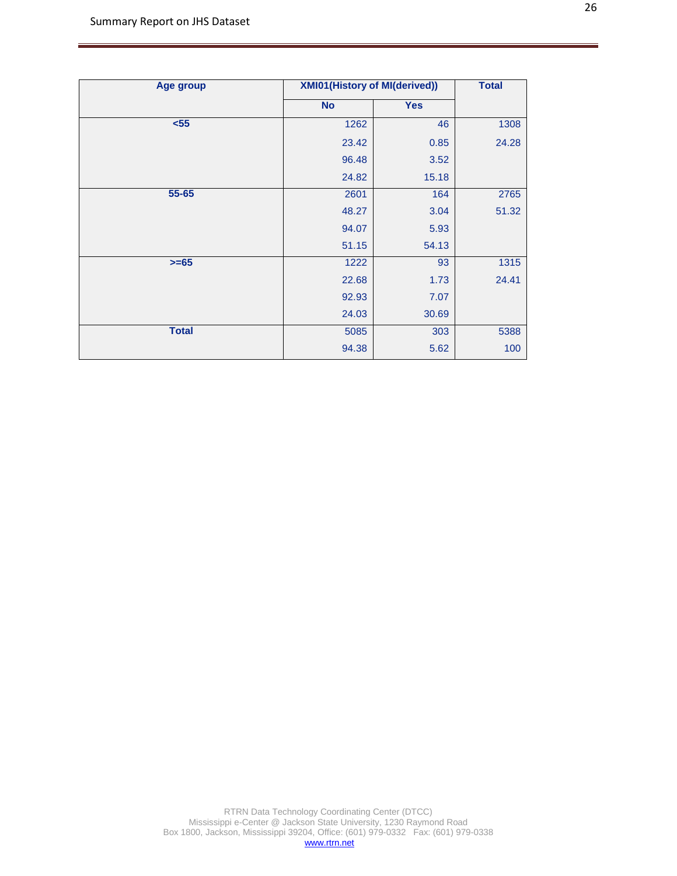| <b>Age group</b> | <b>XMI01(History of MI(derived))</b> |            | <b>Total</b> |
|------------------|--------------------------------------|------------|--------------|
|                  | <b>No</b>                            | <b>Yes</b> |              |
| $55$             | 1262                                 | 46         | 1308         |
|                  | 23.42                                | 0.85       | 24.28        |
|                  | 96.48                                | 3.52       |              |
|                  | 24.82                                | 15.18      |              |
| 55-65            | 2601                                 | 164        | 2765         |
|                  | 48.27                                | 3.04       | 51.32        |
|                  | 94.07                                | 5.93       |              |
|                  | 51.15                                | 54.13      |              |
| $>= 65$          | 1222                                 | 93         | 1315         |
|                  | 22.68                                | 1.73       | 24.41        |
|                  | 92.93                                | 7.07       |              |
|                  | 24.03                                | 30.69      |              |
| <b>Total</b>     | 5085                                 | 303        | 5388         |
|                  | 94.38                                | 5.62       | 100          |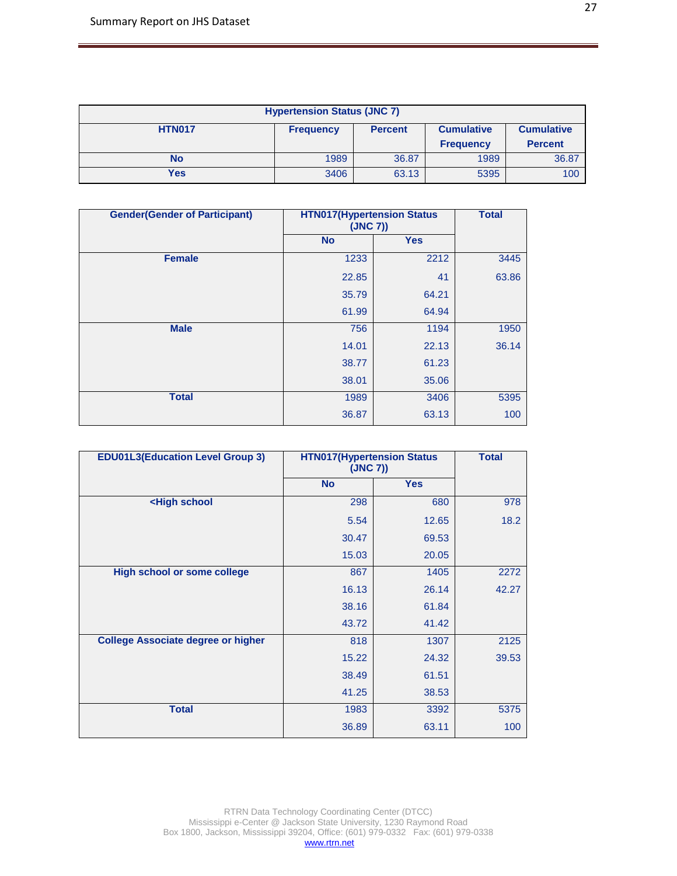| <b>Hypertension Status (JNC 7)</b>                                                            |                                    |       |      |       |  |  |
|-----------------------------------------------------------------------------------------------|------------------------------------|-------|------|-------|--|--|
| <b>HTN017</b><br><b>Cumulative</b><br><b>Cumulative</b><br><b>Percent</b><br><b>Frequency</b> |                                    |       |      |       |  |  |
|                                                                                               | <b>Percent</b><br><b>Frequency</b> |       |      |       |  |  |
| No                                                                                            | 1989                               | 36.87 | 1989 | 36.87 |  |  |
| Yes                                                                                           | 3406                               | 63.13 | 5395 | 100   |  |  |

| <b>Gender(Gender of Participant)</b> |           | <b>HTN017(Hypertension Status</b><br>(JNC 7) |       |  |
|--------------------------------------|-----------|----------------------------------------------|-------|--|
|                                      | <b>No</b> | <b>Yes</b>                                   |       |  |
| <b>Female</b>                        | 1233      | 2212                                         | 3445  |  |
|                                      | 22.85     | 41                                           | 63.86 |  |
|                                      | 35.79     | 64.21                                        |       |  |
|                                      | 61.99     | 64.94                                        |       |  |
| <b>Male</b>                          | 756       | 1194                                         | 1950  |  |
|                                      | 14.01     | 22.13                                        | 36.14 |  |
|                                      | 38.77     | 61.23                                        |       |  |
|                                      | 38.01     | 35.06                                        |       |  |
| <b>Total</b>                         | 1989      | 3406                                         | 5395  |  |
|                                      | 36.87     | 63.13                                        | 100   |  |

| <b>EDU01L3(Education Level Group 3)</b>                            |           | <b>HTN017(Hypertension Status</b><br>(JNC 7)) |       |  |
|--------------------------------------------------------------------|-----------|-----------------------------------------------|-------|--|
|                                                                    | <b>No</b> | <b>Yes</b>                                    |       |  |
| <high school<="" th=""><th>298</th><th>680</th><th>978</th></high> | 298       | 680                                           | 978   |  |
|                                                                    | 5.54      | 12.65                                         | 18.2  |  |
|                                                                    | 30.47     | 69.53                                         |       |  |
|                                                                    | 15.03     | 20.05                                         |       |  |
| <b>High school or some college</b>                                 | 867       | 1405                                          | 2272  |  |
|                                                                    | 16.13     | 26.14                                         | 42.27 |  |
|                                                                    | 38.16     | 61.84                                         |       |  |
|                                                                    | 43.72     | 41.42                                         |       |  |
| <b>College Associate degree or higher</b>                          | 818       | 1307                                          | 2125  |  |
|                                                                    | 15.22     | 24.32                                         | 39.53 |  |
|                                                                    | 38.49     | 61.51                                         |       |  |
|                                                                    | 41.25     | 38.53                                         |       |  |
| <b>Total</b>                                                       | 1983      | 3392                                          | 5375  |  |
|                                                                    | 36.89     | 63.11                                         | 100   |  |

RTRN Data Technology Coordinating Center (DTCC) Mississippi e-Center @ Jackson State University, 1230 Raymond Road Box 1800, Jackson, Mississippi 39204, Office: (601) 979-0332 Fax: (601) 979-0338 [www.rtrn.net](http://www.rtrn.net/)

27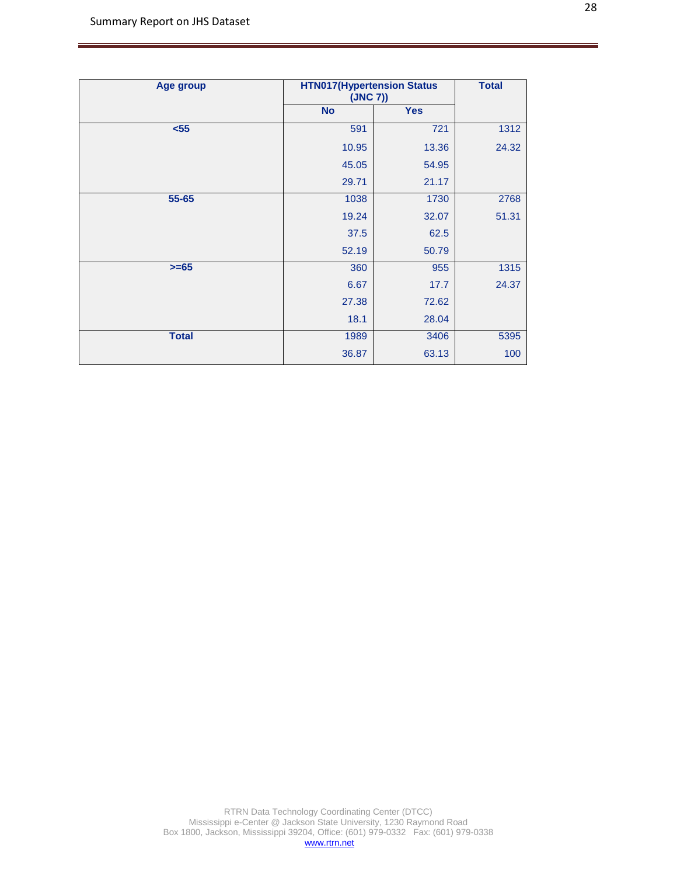| Age group    |           | <b>HTN017(Hypertension Status</b><br>(JNC 7)) |       |  |
|--------------|-----------|-----------------------------------------------|-------|--|
|              | <b>No</b> | <b>Yes</b>                                    |       |  |
| $55$         | 591       | 721                                           | 1312  |  |
|              | 10.95     | 13.36                                         | 24.32 |  |
|              | 45.05     | 54.95                                         |       |  |
|              | 29.71     | 21.17                                         |       |  |
| 55-65        | 1038      | 1730                                          | 2768  |  |
|              | 19.24     | 32.07                                         | 51.31 |  |
|              | 37.5      | 62.5                                          |       |  |
|              | 52.19     | 50.79                                         |       |  |
| $>= 65$      | 360       | 955                                           | 1315  |  |
|              | 6.67      | 17.7                                          | 24.37 |  |
|              | 27.38     | 72.62                                         |       |  |
|              | 18.1      | 28.04                                         |       |  |
| <b>Total</b> | 1989      | 3406                                          | 5395  |  |
|              | 36.87     | 63.13                                         | 100   |  |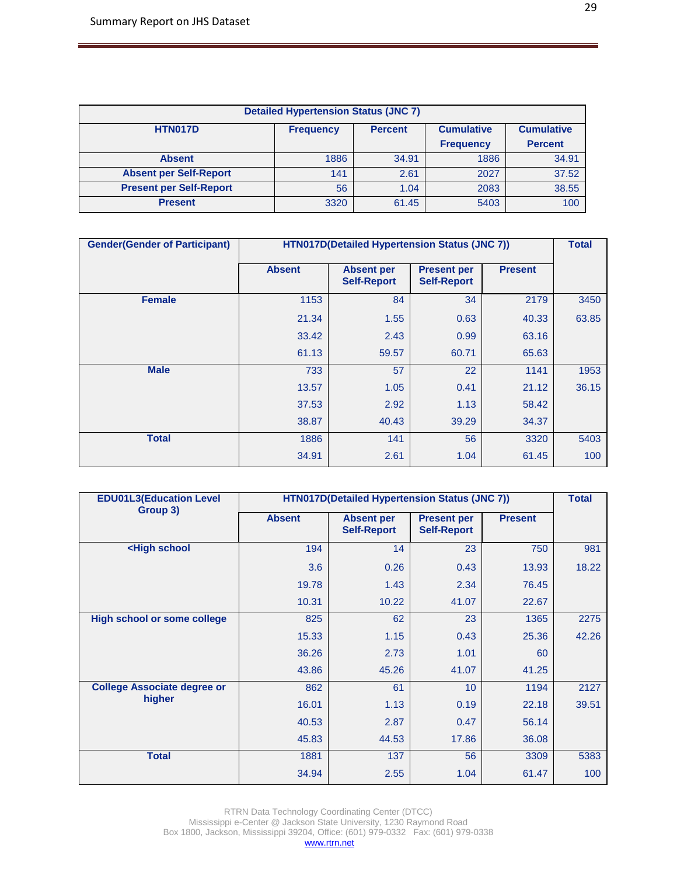| <b>Detailed Hypertension Status (JNC 7)</b> |                  |                |                   |                   |  |  |
|---------------------------------------------|------------------|----------------|-------------------|-------------------|--|--|
| <b>HTN017D</b>                              | <b>Frequency</b> | <b>Percent</b> | <b>Cumulative</b> | <b>Cumulative</b> |  |  |
|                                             |                  |                | <b>Frequency</b>  | <b>Percent</b>    |  |  |
| <b>Absent</b>                               | 1886             | 34.91          | 1886              | 34.91             |  |  |
| <b>Absent per Self-Report</b>               | 141              | 2.61           | 2027              | 37.52             |  |  |
| <b>Present per Self-Report</b>              | 56               | 1.04           | 2083              | 38.55             |  |  |
| <b>Present</b>                              | 3320             | 61.45          | 5403              | 100               |  |  |

| <b>Gender(Gender of Participant)</b> |               | HTN017D(Detailed Hypertension Status (JNC 7)) |                                          |                |       |  |
|--------------------------------------|---------------|-----------------------------------------------|------------------------------------------|----------------|-------|--|
|                                      | <b>Absent</b> | <b>Absent per</b><br><b>Self-Report</b>       | <b>Present per</b><br><b>Self-Report</b> | <b>Present</b> |       |  |
| <b>Female</b>                        | 1153          | 84                                            | 34                                       | 2179           | 3450  |  |
|                                      | 21.34         | 1.55                                          | 0.63                                     | 40.33          | 63.85 |  |
|                                      | 33.42         | 2.43                                          | 0.99                                     | 63.16          |       |  |
|                                      | 61.13         | 59.57                                         | 60.71                                    | 65.63          |       |  |
| <b>Male</b>                          | 733           | 57                                            | 22                                       | 1141           | 1953  |  |
|                                      | 13.57         | 1.05                                          | 0.41                                     | 21.12          | 36.15 |  |
|                                      | 37.53         | 2.92                                          | 1.13                                     | 58.42          |       |  |
|                                      | 38.87         | 40.43                                         | 39.29                                    | 34.37          |       |  |
| <b>Total</b>                         | 1886          | 141                                           | 56                                       | 3320           | 5403  |  |
|                                      | 34.91         | 2.61                                          | 1.04                                     | 61.45          | 100   |  |

| <b>EDU01L3(Education Level</b>                                                           | HTN017D(Detailed Hypertension Status (JNC 7)) |                                         |                                          |                |       |  |  |
|------------------------------------------------------------------------------------------|-----------------------------------------------|-----------------------------------------|------------------------------------------|----------------|-------|--|--|
| Group 3)                                                                                 | <b>Absent</b>                                 | <b>Absent per</b><br><b>Self-Report</b> | <b>Present per</b><br><b>Self-Report</b> | <b>Present</b> |       |  |  |
| <high school<="" th=""><th>194</th><th>14</th><th>23</th><th>750</th><th>981</th></high> | 194                                           | 14                                      | 23                                       | 750            | 981   |  |  |
|                                                                                          | 3.6                                           | 0.26                                    | 0.43                                     | 13.93          | 18.22 |  |  |
|                                                                                          | 19.78                                         | 1.43                                    | 2.34                                     | 76.45          |       |  |  |
|                                                                                          | 10.31                                         | 10.22                                   | 41.07                                    | 22.67          |       |  |  |
| <b>High school or some college</b>                                                       | 825                                           | 62                                      | 23                                       | 1365           | 2275  |  |  |
|                                                                                          | 15.33                                         | 1.15                                    | 0.43                                     | 25.36          | 42.26 |  |  |
|                                                                                          | 36.26                                         | 2.73                                    | 1.01                                     | 60             |       |  |  |
|                                                                                          | 43.86                                         | 45.26                                   | 41.07                                    | 41.25          |       |  |  |
| <b>College Associate degree or</b>                                                       | 862                                           | 61                                      | 10                                       | 1194           | 2127  |  |  |
| higher                                                                                   | 16.01                                         | 1.13                                    | 0.19                                     | 22.18          | 39.51 |  |  |
|                                                                                          | 40.53                                         | 2.87                                    | 0.47                                     | 56.14          |       |  |  |
|                                                                                          | 45.83                                         | 44.53                                   | 17.86                                    | 36.08          |       |  |  |
| <b>Total</b>                                                                             | 1881                                          | 137                                     | 56                                       | 3309           | 5383  |  |  |
|                                                                                          | 34.94                                         | 2.55                                    | 1.04                                     | 61.47          | 100   |  |  |

RTRN Data Technology Coordinating Center (DTCC) Mississippi e-Center @ Jackson State University, 1230 Raymond Road Box 1800, Jackson, Mississippi 39204, Office: (601) 979-0332 Fax: (601) 979-0338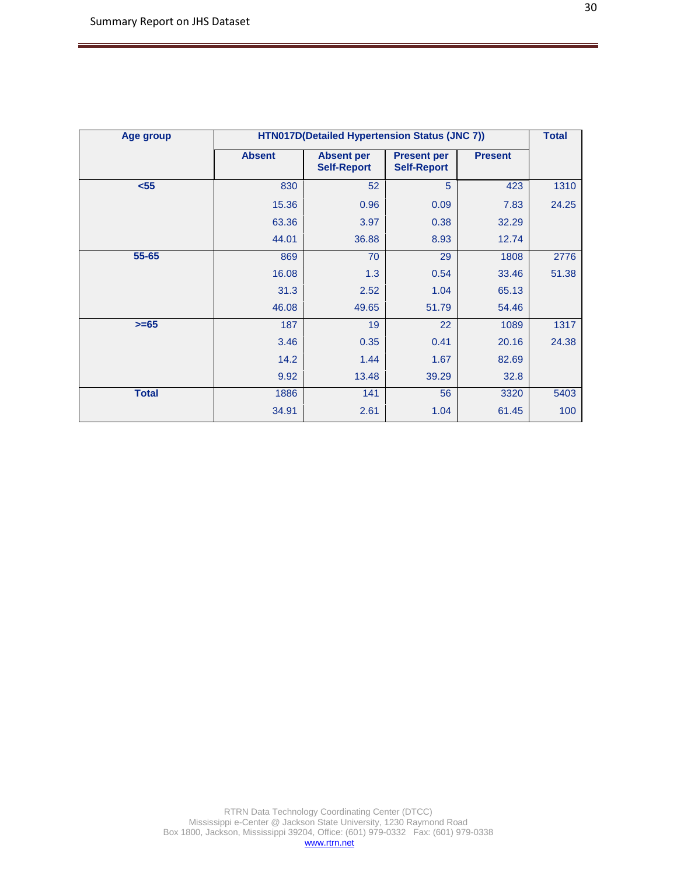| Age group    | HTN017D(Detailed Hypertension Status (JNC 7)) |                                         |                                          |                |       |  |  |
|--------------|-----------------------------------------------|-----------------------------------------|------------------------------------------|----------------|-------|--|--|
|              | <b>Absent</b>                                 | <b>Absent per</b><br><b>Self-Report</b> | <b>Present per</b><br><b>Self-Report</b> | <b>Present</b> |       |  |  |
| $55$         | 830                                           | 52                                      | 5                                        | 423            | 1310  |  |  |
|              | 15.36                                         | 0.96                                    | 0.09                                     | 7.83           | 24.25 |  |  |
|              | 63.36                                         | 3.97                                    | 0.38                                     | 32.29          |       |  |  |
|              | 44.01                                         | 36.88                                   | 8.93                                     | 12.74          |       |  |  |
| 55-65        | 869                                           | 70                                      | 29                                       | 1808           | 2776  |  |  |
|              | 16.08                                         | 1.3                                     | 0.54                                     | 33.46          | 51.38 |  |  |
|              | 31.3                                          | 2.52                                    | 1.04                                     | 65.13          |       |  |  |
|              | 46.08                                         | 49.65                                   | 51.79                                    | 54.46          |       |  |  |
| $>= 65$      | 187                                           | 19                                      | 22                                       | 1089           | 1317  |  |  |
|              | 3.46                                          | 0.35                                    | 0.41                                     | 20.16          | 24.38 |  |  |
|              | 14.2                                          | 1.44                                    | 1.67                                     | 82.69          |       |  |  |
|              | 9.92                                          | 13.48                                   | 39.29                                    | 32.8           |       |  |  |
| <b>Total</b> | 1886                                          | 141                                     | 56                                       | 3320           | 5403  |  |  |
|              | 34.91                                         | 2.61                                    | 1.04                                     | 61.45          | 100   |  |  |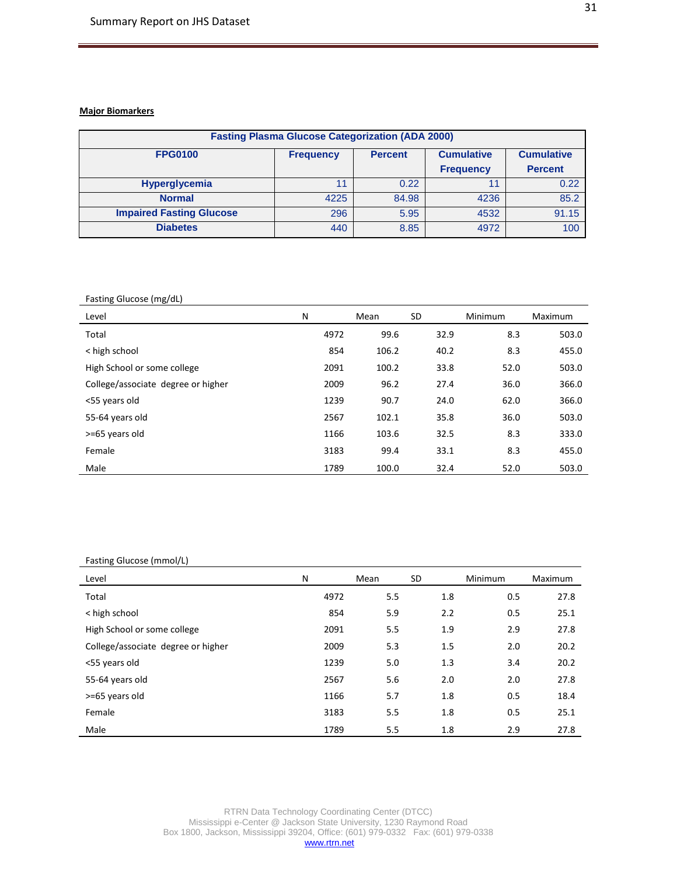## **Major Biomarkers**

| <b>Fasting Plasma Glucose Categorization (ADA 2000)</b> |                                                         |       |                  |                |  |  |  |
|---------------------------------------------------------|---------------------------------------------------------|-------|------------------|----------------|--|--|--|
| <b>FPG0100</b>                                          | <b>Cumulative</b><br><b>Percent</b><br><b>Frequency</b> |       |                  |                |  |  |  |
|                                                         |                                                         |       | <b>Frequency</b> | <b>Percent</b> |  |  |  |
| <b>Hyperglycemia</b>                                    | 11                                                      | 0.22  |                  | 0.22           |  |  |  |
| <b>Normal</b>                                           | 4225                                                    | 84.98 | 4236             | 85.2           |  |  |  |
| <b>Impaired Fasting Glucose</b>                         | 296                                                     | 5.95  | 4532             | 91.15          |  |  |  |
| <b>Diabetes</b>                                         | 440                                                     | 8.85  | 4972             | 100            |  |  |  |

#### Fasting Glucose (mg/dL)

| Level                              | N    | Mean  | <b>SD</b> | Minimum | Maximum |
|------------------------------------|------|-------|-----------|---------|---------|
| Total                              | 4972 | 99.6  | 32.9      | 8.3     | 503.0   |
| < high school                      | 854  | 106.2 | 40.2      | 8.3     | 455.0   |
| High School or some college        | 2091 | 100.2 | 33.8      | 52.0    | 503.0   |
| College/associate degree or higher | 2009 | 96.2  | 27.4      | 36.0    | 366.0   |
| <55 years old                      | 1239 | 90.7  | 24.0      | 62.0    | 366.0   |
| 55-64 years old                    | 2567 | 102.1 | 35.8      | 36.0    | 503.0   |
| >=65 years old                     | 1166 | 103.6 | 32.5      | 8.3     | 333.0   |
| Female                             | 3183 | 99.4  | 33.1      | 8.3     | 455.0   |
| Male                               | 1789 | 100.0 | 32.4      | 52.0    | 503.0   |

#### Fasting Glucose (mmol/L)

| Level                              | N    | Mean | <b>SD</b> | Minimum | Maximum |
|------------------------------------|------|------|-----------|---------|---------|
| Total                              | 4972 | 5.5  | 1.8       | 0.5     | 27.8    |
| < high school                      | 854  | 5.9  | 2.2       | 0.5     | 25.1    |
| High School or some college        | 2091 | 5.5  | 1.9       | 2.9     | 27.8    |
| College/associate degree or higher | 2009 | 5.3  | 1.5       | 2.0     | 20.2    |
| <55 years old                      | 1239 | 5.0  | 1.3       | 3.4     | 20.2    |
| 55-64 years old                    | 2567 | 5.6  | 2.0       | 2.0     | 27.8    |
| >=65 years old                     | 1166 | 5.7  | 1.8       | 0.5     | 18.4    |
| Female                             | 3183 | 5.5  | 1.8       | 0.5     | 25.1    |
| Male                               | 1789 | 5.5  | 1.8       | 2.9     | 27.8    |

RTRN Data Technology Coordinating Center (DTCC) Mississippi e-Center @ Jackson State University, 1230 Raymond Road Box 1800, Jackson, Mississippi 39204, Office: (601) 979-0332 Fax: (601) 979-0338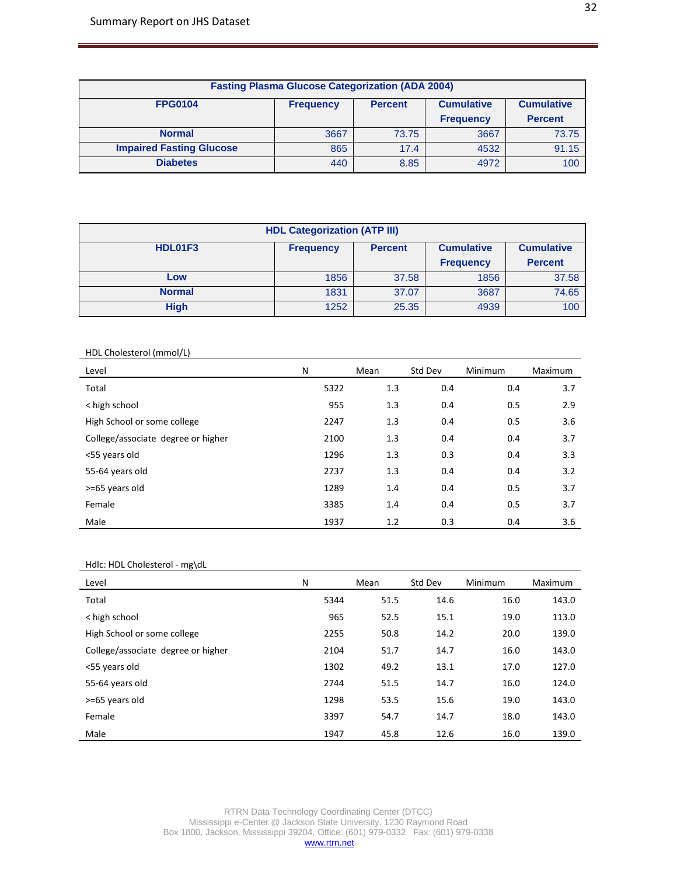| <b>Fasting Plasma Glucose Categorization (ADA 2004)</b>                                        |      |       |                  |                |  |  |  |
|------------------------------------------------------------------------------------------------|------|-------|------------------|----------------|--|--|--|
| <b>FPG0104</b><br><b>Cumulative</b><br><b>Cumulative</b><br><b>Percent</b><br><b>Frequency</b> |      |       |                  |                |  |  |  |
|                                                                                                |      |       | <b>Frequency</b> | <b>Percent</b> |  |  |  |
| <b>Normal</b>                                                                                  | 3667 | 73.75 | 3667             | 73.75          |  |  |  |
| <b>Impaired Fasting Glucose</b>                                                                | 865  | 17.4  | 4532             | 91.15          |  |  |  |
| <b>Diabetes</b>                                                                                | 440  | 8.85  | 4972             | 100            |  |  |  |

| <b>HDL Categorization (ATP III)</b> |                  |                   |                   |                |  |  |  |
|-------------------------------------|------------------|-------------------|-------------------|----------------|--|--|--|
| HDL01F3                             | <b>Frequency</b> | <b>Cumulative</b> | <b>Cumulative</b> |                |  |  |  |
|                                     |                  |                   | <b>Frequency</b>  | <b>Percent</b> |  |  |  |
| Low                                 | 1856             | 37.58             | 1856              | 37.58          |  |  |  |
| <b>Normal</b>                       | 1831             | 37.07             | 3687              | 74.65          |  |  |  |
| <b>High</b>                         | 1252             | 25.35             | 4939              | 100            |  |  |  |

## HDL Cholesterol (mmol/L)

| Level                              | N    | Mean | Std Dev | Minimum | Maximum |
|------------------------------------|------|------|---------|---------|---------|
| Total                              | 5322 | 1.3  | 0.4     | 0.4     | 3.7     |
| < high school                      | 955  | 1.3  | 0.4     | 0.5     | 2.9     |
| High School or some college        | 2247 | 1.3  | 0.4     | 0.5     | 3.6     |
| College/associate degree or higher | 2100 | 1.3  | 0.4     | 0.4     | 3.7     |
| <55 years old                      | 1296 | 1.3  | 0.3     | 0.4     | 3.3     |
| 55-64 years old                    | 2737 | 1.3  | 0.4     | 0.4     | 3.2     |
| >=65 years old                     | 1289 | 1.4  | 0.4     | 0.5     | 3.7     |
| Female                             | 3385 | 1.4  | 0.4     | 0.5     | 3.7     |
| Male                               | 1937 | 1.2  | 0.3     | 0.4     | 3.6     |

#### Hdlc: HDL Cholesterol - mg\dL

| Level                              | N    | Mean | Std Dev | Minimum | Maximum |
|------------------------------------|------|------|---------|---------|---------|
| Total                              | 5344 | 51.5 | 14.6    | 16.0    | 143.0   |
| < high school                      | 965  | 52.5 | 15.1    | 19.0    | 113.0   |
| High School or some college        | 2255 | 50.8 | 14.2    | 20.0    | 139.0   |
| College/associate degree or higher | 2104 | 51.7 | 14.7    | 16.0    | 143.0   |
| <55 years old                      | 1302 | 49.2 | 13.1    | 17.0    | 127.0   |
| 55-64 years old                    | 2744 | 51.5 | 14.7    | 16.0    | 124.0   |
| >=65 years old                     | 1298 | 53.5 | 15.6    | 19.0    | 143.0   |
| Female                             | 3397 | 54.7 | 14.7    | 18.0    | 143.0   |
| Male                               | 1947 | 45.8 | 12.6    | 16.0    | 139.0   |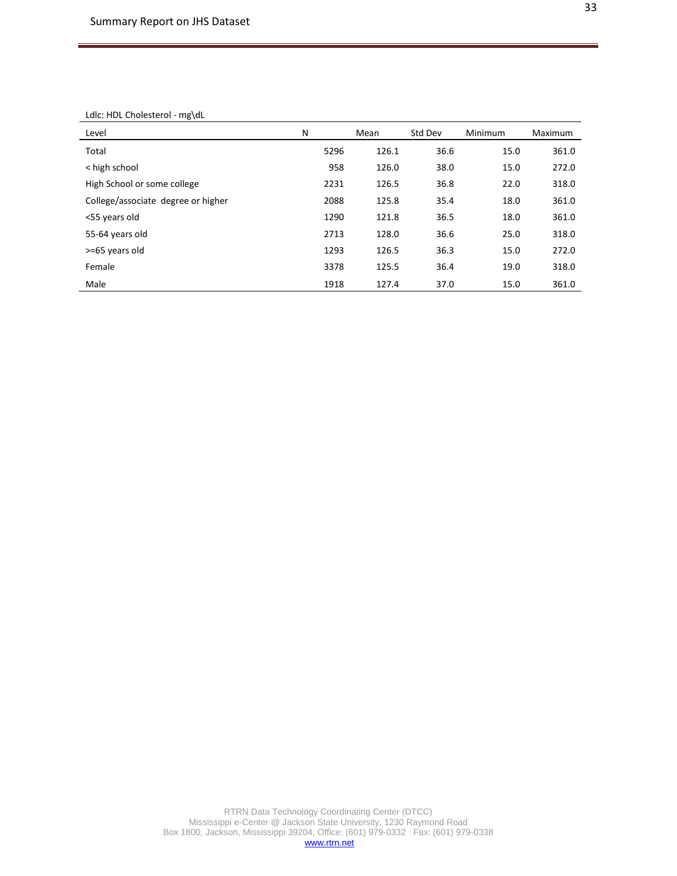#### Ldlc: HDL Cholesterol - mg\dL

| Level                              | N    | Mean  | Std Dev | Minimum | Maximum |
|------------------------------------|------|-------|---------|---------|---------|
| Total                              | 5296 | 126.1 | 36.6    | 15.0    | 361.0   |
| < high school                      | 958  | 126.0 | 38.0    | 15.0    | 272.0   |
| High School or some college        | 2231 | 126.5 | 36.8    | 22.0    | 318.0   |
| College/associate degree or higher | 2088 | 125.8 | 35.4    | 18.0    | 361.0   |
| <55 years old                      | 1290 | 121.8 | 36.5    | 18.0    | 361.0   |
| 55-64 years old                    | 2713 | 128.0 | 36.6    | 25.0    | 318.0   |
| >=65 years old                     | 1293 | 126.5 | 36.3    | 15.0    | 272.0   |
| Female                             | 3378 | 125.5 | 36.4    | 19.0    | 318.0   |
| Male                               | 1918 | 127.4 | 37.0    | 15.0    | 361.0   |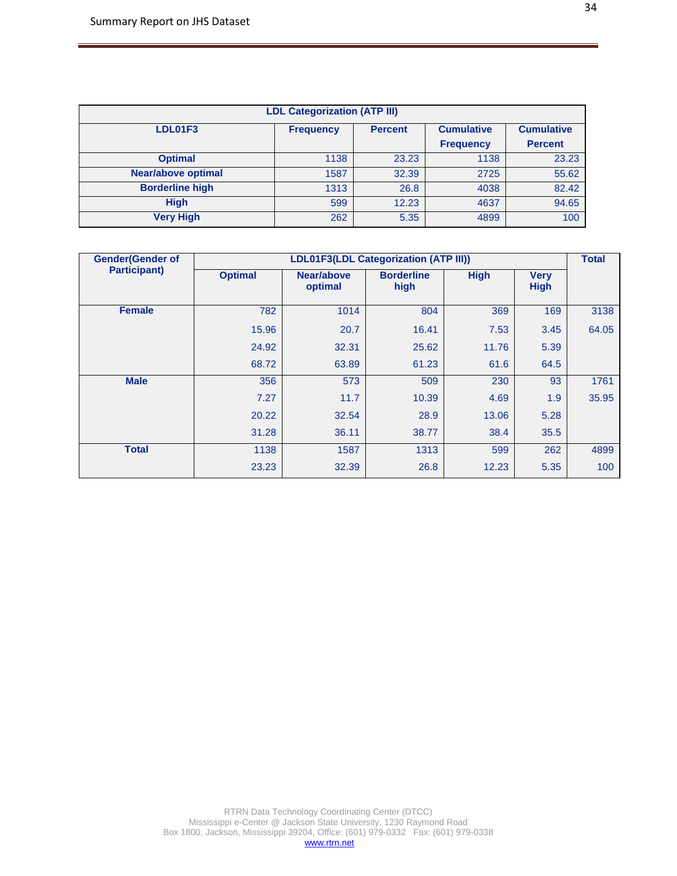| <b>LDL Categorization (ATP III)</b> |                  |                                                          |                  |                |  |  |  |
|-------------------------------------|------------------|----------------------------------------------------------|------------------|----------------|--|--|--|
| LDL01F3                             | <b>Frequency</b> | <b>Cumulative</b><br><b>Cumulative</b><br><b>Percent</b> |                  |                |  |  |  |
|                                     |                  |                                                          | <b>Frequency</b> | <b>Percent</b> |  |  |  |
| <b>Optimal</b>                      | 1138             | 23.23                                                    | 1138             | 23.23          |  |  |  |
| <b>Near/above optimal</b>           | 1587             | 32.39                                                    | 2725             | 55.62          |  |  |  |
| <b>Borderline high</b>              | 1313             | 26.8                                                     | 4038             | 82.42          |  |  |  |
| <b>High</b>                         | 599              | 12.23                                                    | 4637             | 94.65          |  |  |  |
| <b>Very High</b>                    | 262              | 5.35                                                     | 4899             | 100            |  |  |  |

| <b>Gender</b> (Gender of |                | <b>Total</b>          |                           |             |                            |       |
|--------------------------|----------------|-----------------------|---------------------------|-------------|----------------------------|-------|
| <b>Participant)</b>      | <b>Optimal</b> | Near/above<br>optimal | <b>Borderline</b><br>high | <b>High</b> | <b>Very</b><br><b>High</b> |       |
| <b>Female</b>            | 782            | 1014                  | 804                       | 369         | 169                        | 3138  |
|                          | 15.96          | 20.7                  | 16.41                     | 7.53        | 3.45                       | 64.05 |
|                          | 24.92          | 32.31                 | 25.62                     | 11.76       | 5.39                       |       |
|                          | 68.72          | 63.89                 | 61.23                     | 61.6        | 64.5                       |       |
| <b>Male</b>              | 356            | 573                   | 509                       | 230         | 93                         | 1761  |
|                          | 7.27           | 11.7                  | 10.39                     | 4.69        | 1.9                        | 35.95 |
|                          | 20.22          | 32.54                 | 28.9                      | 13.06       | 5.28                       |       |
|                          | 31.28          | 36.11                 | 38.77                     | 38.4        | 35.5                       |       |
| <b>Total</b>             | 1138           | 1587                  | 1313                      | 599         | 262                        | 4899  |
|                          | 23.23          | 32.39                 | 26.8                      | 12.23       | 5.35                       | 100   |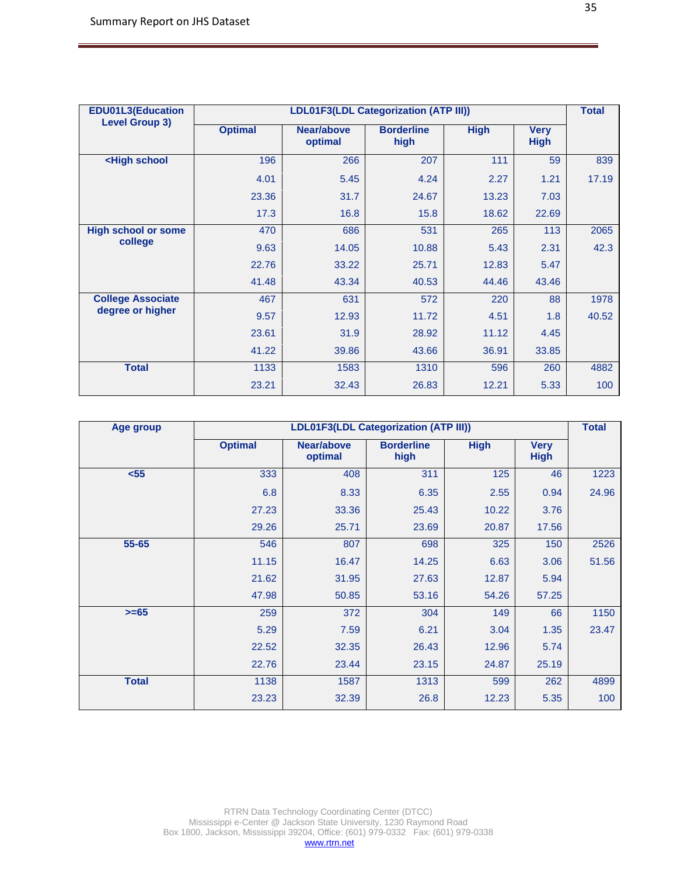| <b>EDU01L3(Education</b>                                                                              |                |                       | LDL01F3(LDL Categorization (ATP III)) |             |                            | <b>Total</b> |
|-------------------------------------------------------------------------------------------------------|----------------|-----------------------|---------------------------------------|-------------|----------------------------|--------------|
| <b>Level Group 3)</b>                                                                                 | <b>Optimal</b> | Near/above<br>optimal | <b>Borderline</b><br>high             | <b>High</b> | <b>Very</b><br><b>High</b> |              |
| <high school<="" th=""><th>196</th><th>266</th><th>207</th><th>111</th><th>59</th><th>839</th></high> | 196            | 266                   | 207                                   | 111         | 59                         | 839          |
|                                                                                                       | 4.01           | 5.45                  | 4.24                                  | 2.27        | 1.21                       | 17.19        |
|                                                                                                       | 23.36          | 31.7                  | 24.67                                 | 13.23       | 7.03                       |              |
|                                                                                                       | 17.3           | 16.8                  | 15.8                                  | 18.62       | 22.69                      |              |
| <b>High school or some</b>                                                                            | 470            | 686                   | 531                                   | 265         | 113                        | 2065         |
| college                                                                                               | 9.63           | 14.05                 | 10.88                                 | 5.43        | 2.31                       | 42.3         |
|                                                                                                       | 22.76          | 33.22                 | 25.71                                 | 12.83       | 5.47                       |              |
|                                                                                                       | 41.48          | 43.34                 | 40.53                                 | 44.46       | 43.46                      |              |
| <b>College Associate</b>                                                                              | 467            | 631                   | 572                                   | 220         | 88                         | 1978         |
| degree or higher                                                                                      | 9.57           | 12.93                 | 11.72                                 | 4.51        | 1.8                        | 40.52        |
|                                                                                                       | 23.61          | 31.9                  | 28.92                                 | 11.12       | 4.45                       |              |
|                                                                                                       | 41.22          | 39.86                 | 43.66                                 | 36.91       | 33.85                      |              |
| <b>Total</b>                                                                                          | 1133           | 1583                  | 1310                                  | 596         | 260                        | 4882         |
|                                                                                                       | 23.21          | 32.43                 | 26.83                                 | 12.21       | 5.33                       | 100          |

| Age group    | LDL01F3(LDL Categorization (ATP III)) |                       |                           |             |                            |       |
|--------------|---------------------------------------|-----------------------|---------------------------|-------------|----------------------------|-------|
|              | <b>Optimal</b>                        | Near/above<br>optimal | <b>Borderline</b><br>high | <b>High</b> | <b>Very</b><br><b>High</b> |       |
| $55$         | 333                                   | 408                   | 311                       | 125         | 46                         | 1223  |
|              | 6.8                                   | 8.33                  | 6.35                      | 2.55        | 0.94                       | 24.96 |
|              | 27.23                                 | 33.36                 | 25.43                     | 10.22       | 3.76                       |       |
|              | 29.26                                 | 25.71                 | 23.69                     | 20.87       | 17.56                      |       |
| 55-65        | 546                                   | 807                   | 698                       | 325         | 150                        | 2526  |
|              | 11.15                                 | 16.47                 | 14.25                     | 6.63        | 3.06                       | 51.56 |
|              | 21.62                                 | 31.95                 | 27.63                     | 12.87       | 5.94                       |       |
|              | 47.98                                 | 50.85                 | 53.16                     | 54.26       | 57.25                      |       |
| $>= 65$      | 259                                   | 372                   | 304                       | 149         | 66                         | 1150  |
|              | 5.29                                  | 7.59                  | 6.21                      | 3.04        | 1.35                       | 23.47 |
|              | 22.52                                 | 32.35                 | 26.43                     | 12.96       | 5.74                       |       |
|              | 22.76                                 | 23.44                 | 23.15                     | 24.87       | 25.19                      |       |
| <b>Total</b> | 1138                                  | 1587                  | 1313                      | 599         | 262                        | 4899  |
|              | 23.23                                 | 32.39                 | 26.8                      | 12.23       | 5.35                       | 100   |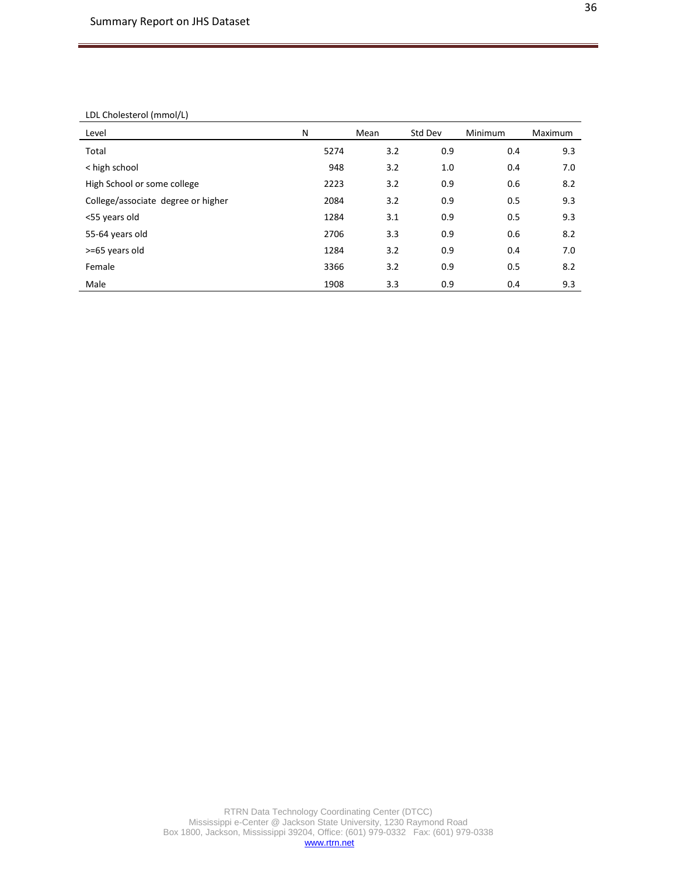#### LDL Cholesterol (mmol/L)

| Level                              | N    | Mean | Std Dev | Minimum | Maximum |
|------------------------------------|------|------|---------|---------|---------|
| Total                              | 5274 | 3.2  | 0.9     | 0.4     | 9.3     |
| < high school                      | 948  | 3.2  | 1.0     | 0.4     | 7.0     |
| High School or some college        | 2223 | 3.2  | 0.9     | 0.6     | 8.2     |
| College/associate degree or higher | 2084 | 3.2  | 0.9     | 0.5     | 9.3     |
| <55 years old                      | 1284 | 3.1  | 0.9     | 0.5     | 9.3     |
| 55-64 years old                    | 2706 | 3.3  | 0.9     | 0.6     | 8.2     |
| >=65 years old                     | 1284 | 3.2  | 0.9     | 0.4     | 7.0     |
| Female                             | 3366 | 3.2  | 0.9     | 0.5     | 8.2     |
| Male                               | 1908 | 3.3  | 0.9     | 0.4     | 9.3     |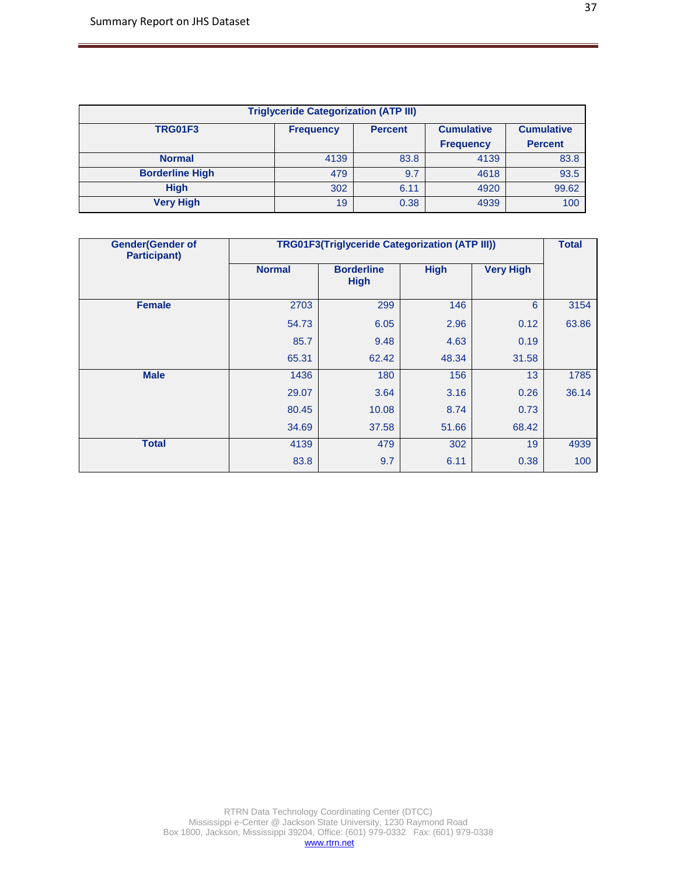| <b>Triglyceride Categorization (ATP III)</b> |                  |                |                   |                   |  |  |  |  |  |
|----------------------------------------------|------------------|----------------|-------------------|-------------------|--|--|--|--|--|
| <b>TRG01F3</b>                               | <b>Frequency</b> | <b>Percent</b> | <b>Cumulative</b> | <b>Cumulative</b> |  |  |  |  |  |
|                                              |                  |                | <b>Frequency</b>  | <b>Percent</b>    |  |  |  |  |  |
| <b>Normal</b>                                | 4139             | 83.8           | 4139              | 83.8              |  |  |  |  |  |
| <b>Borderline High</b>                       | 479              | 9.7            | 4618              | 93.5              |  |  |  |  |  |
| <b>High</b>                                  | 302              | 6.11           | 4920              | 99.62             |  |  |  |  |  |
| <b>Very High</b>                             | 19               | 0.38           | 4939              | 100               |  |  |  |  |  |

| <b>Gender(Gender of</b><br><b>Participant)</b> |               | <b>TRG01F3(Triglyceride Categorization (ATP III))</b> |             |                  | <b>Total</b> |
|------------------------------------------------|---------------|-------------------------------------------------------|-------------|------------------|--------------|
|                                                | <b>Normal</b> | <b>Borderline</b><br><b>High</b>                      | <b>High</b> | <b>Very High</b> |              |
| <b>Female</b>                                  | 2703          | 299                                                   | 146         | 6                | 3154         |
|                                                | 54.73         | 6.05                                                  | 2.96        | 0.12             | 63.86        |
|                                                | 85.7          | 9.48                                                  | 4.63        | 0.19             |              |
|                                                | 65.31         | 62.42                                                 | 48.34       | 31.58            |              |
| <b>Male</b>                                    | 1436          | 180                                                   | 156         | 13               | 1785         |
|                                                | 29.07         | 3.64                                                  | 3.16        | 0.26             | 36.14        |
|                                                | 80.45         | 10.08                                                 | 8.74        | 0.73             |              |
|                                                | 34.69         | 37.58                                                 | 51.66       | 68.42            |              |
| <b>Total</b>                                   | 4139          | 479                                                   | 302         | 19               | 4939         |
|                                                | 83.8          | 9.7                                                   | 6.11        | 0.38             | 100          |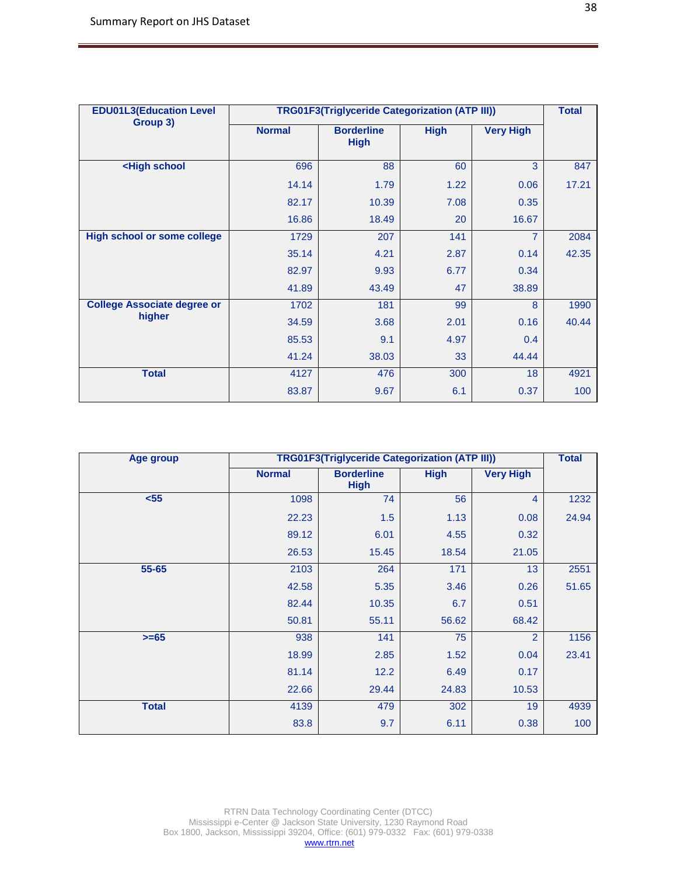| <b>EDU01L3(Education Level</b>                                                         | <b>TRG01F3(Triglyceride Categorization (ATP III))</b> |                                  |             |                  |       |  |
|----------------------------------------------------------------------------------------|-------------------------------------------------------|----------------------------------|-------------|------------------|-------|--|
| Group 3)                                                                               | <b>Normal</b>                                         | <b>Borderline</b><br><b>High</b> | <b>High</b> | <b>Very High</b> |       |  |
| <high school<="" th=""><th>696</th><th>88</th><th>60</th><th>3</th><th>847</th></high> | 696                                                   | 88                               | 60          | 3                | 847   |  |
|                                                                                        | 14.14                                                 | 1.79                             | 1.22        | 0.06             | 17.21 |  |
|                                                                                        | 82.17                                                 | 10.39                            | 7.08        | 0.35             |       |  |
|                                                                                        | 16.86                                                 | 18.49                            | 20          | 16.67            |       |  |
| <b>High school or some college</b>                                                     | 1729                                                  | 207                              | 141         | 7                | 2084  |  |
|                                                                                        | 35.14                                                 | 4.21                             | 2.87        | 0.14             | 42.35 |  |
|                                                                                        | 82.97                                                 | 9.93                             | 6.77        | 0.34             |       |  |
|                                                                                        | 41.89                                                 | 43.49                            | 47          | 38.89            |       |  |
| <b>College Associate degree or</b>                                                     | 1702                                                  | 181                              | 99          | 8                | 1990  |  |
| higher                                                                                 | 34.59                                                 | 3.68                             | 2.01        | 0.16             | 40.44 |  |
|                                                                                        | 85.53                                                 | 9.1                              | 4.97        | 0.4              |       |  |
|                                                                                        | 41.24                                                 | 38.03                            | 33          | 44.44            |       |  |
| <b>Total</b>                                                                           | 4127                                                  | 476                              | 300         | 18               | 4921  |  |
|                                                                                        | 83.87                                                 | 9.67                             | 6.1         | 0.37             | 100   |  |

| Age group    |               | <b>TRG01F3(Triglyceride Categorization (ATP III))</b> |             |                  | <b>Total</b> |
|--------------|---------------|-------------------------------------------------------|-------------|------------------|--------------|
|              | <b>Normal</b> | <b>Borderline</b><br><b>High</b>                      | <b>High</b> | <b>Very High</b> |              |
| $55$         | 1098          | 74                                                    | 56          | $\overline{4}$   | 1232         |
|              | 22.23         | 1.5                                                   | 1.13        | 0.08             | 24.94        |
|              | 89.12         | 6.01                                                  | 4.55        | 0.32             |              |
|              | 26.53         | 15.45                                                 | 18.54       | 21.05            |              |
| 55-65        | 2103          | 264                                                   | 171         | 13               | 2551         |
|              | 42.58         | 5.35                                                  | 3.46        | 0.26             | 51.65        |
|              | 82.44         | 10.35                                                 | 6.7         | 0.51             |              |
|              | 50.81         | 55.11                                                 | 56.62       | 68.42            |              |
| $>= 65$      | 938           | 141                                                   | 75          | $\overline{2}$   | 1156         |
|              | 18.99         | 2.85                                                  | 1.52        | 0.04             | 23.41        |
|              | 81.14         | 12.2                                                  | 6.49        | 0.17             |              |
|              | 22.66         | 29.44                                                 | 24.83       | 10.53            |              |
| <b>Total</b> | 4139          | 479                                                   | 302         | 19               | 4939         |
|              | 83.8          | 9.7                                                   | 6.11        | 0.38             | 100          |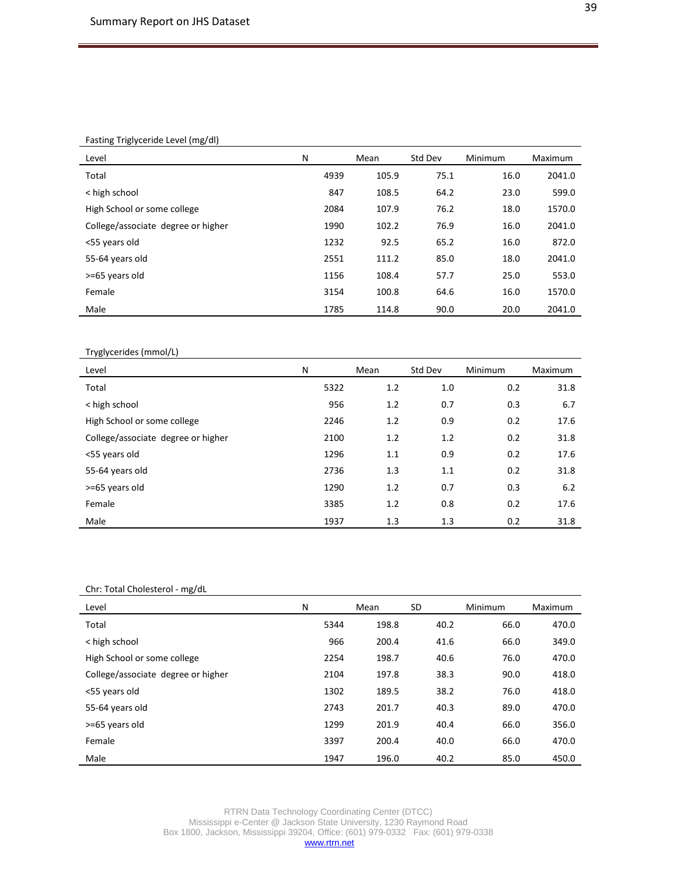### Fasting Triglyceride Level (mg/dl)

| Level                              | N    | Mean  | Std Dev | Minimum | Maximum |
|------------------------------------|------|-------|---------|---------|---------|
| Total                              | 4939 | 105.9 | 75.1    | 16.0    | 2041.0  |
| < high school                      | 847  | 108.5 | 64.2    | 23.0    | 599.0   |
| High School or some college        | 2084 | 107.9 | 76.2    | 18.0    | 1570.0  |
| College/associate degree or higher | 1990 | 102.2 | 76.9    | 16.0    | 2041.0  |
| <55 years old                      | 1232 | 92.5  | 65.2    | 16.0    | 872.0   |
| 55-64 years old                    | 2551 | 111.2 | 85.0    | 18.0    | 2041.0  |
| >=65 years old                     | 1156 | 108.4 | 57.7    | 25.0    | 553.0   |
| Female                             | 3154 | 100.8 | 64.6    | 16.0    | 1570.0  |
| Male                               | 1785 | 114.8 | 90.0    | 20.0    | 2041.0  |

# Tryglycerides (mmol/L)

| Level                              | N    | Mean | Std Dev | Minimum | Maximum |
|------------------------------------|------|------|---------|---------|---------|
| Total                              | 5322 | 1.2  | 1.0     | 0.2     | 31.8    |
| < high school                      | 956  | 1.2  | 0.7     | 0.3     | 6.7     |
| High School or some college        | 2246 | 1.2  | 0.9     | 0.2     | 17.6    |
| College/associate degree or higher | 2100 | 1.2  | 1.2     | 0.2     | 31.8    |
| <55 years old                      | 1296 | 1.1  | 0.9     | 0.2     | 17.6    |
| 55-64 years old                    | 2736 | 1.3  | 1.1     | 0.2     | 31.8    |
| >=65 years old                     | 1290 | 1.2  | 0.7     | 0.3     | 6.2     |
| Female                             | 3385 | 1.2  | 0.8     | 0.2     | 17.6    |
| Male                               | 1937 | 1.3  | 1.3     | 0.2     | 31.8    |

#### Chr: Total Cholesterol - mg/dL

| Level                              | N    | Mean  | SD   | Minimum | Maximum |
|------------------------------------|------|-------|------|---------|---------|
| Total                              | 5344 | 198.8 | 40.2 | 66.0    | 470.0   |
| < high school                      | 966  | 200.4 | 41.6 | 66.0    | 349.0   |
| High School or some college        | 2254 | 198.7 | 40.6 | 76.0    | 470.0   |
| College/associate degree or higher | 2104 | 197.8 | 38.3 | 90.0    | 418.0   |
| <55 years old                      | 1302 | 189.5 | 38.2 | 76.0    | 418.0   |
| 55-64 years old                    | 2743 | 201.7 | 40.3 | 89.0    | 470.0   |
| >=65 years old                     | 1299 | 201.9 | 40.4 | 66.0    | 356.0   |
| Female                             | 3397 | 200.4 | 40.0 | 66.0    | 470.0   |
| Male                               | 1947 | 196.0 | 40.2 | 85.0    | 450.0   |

RTRN Data Technology Coordinating Center (DTCC) Mississippi e-Center @ Jackson State University, 1230 Raymond Road Box 1800, Jackson, Mississippi 39204, Office: (601) 979-0332 Fax: (601) 979-0338 [www.rtrn.net](http://www.rtrn.net/)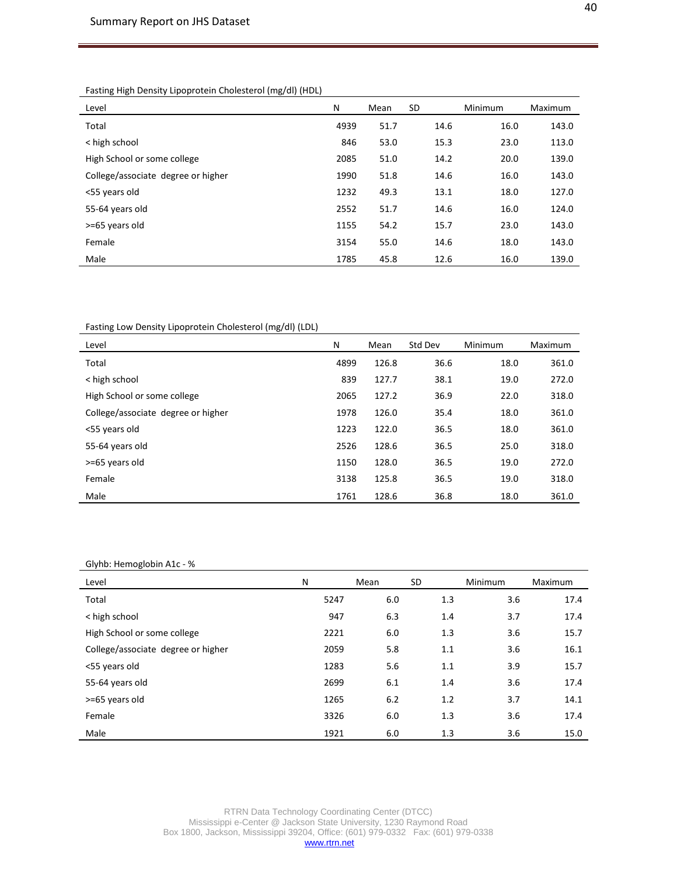Fasting High Density Lipoprotein Cholesterol (mg/dl) (HDL)

| Level                              | N    | Mean | <b>SD</b> | Minimum | <b>Maximum</b> |
|------------------------------------|------|------|-----------|---------|----------------|
| Total                              | 4939 | 51.7 | 14.6      | 16.0    | 143.0          |
| < high school                      | 846  | 53.0 | 15.3      | 23.0    | 113.0          |
| High School or some college        | 2085 | 51.0 | 14.2      | 20.0    | 139.0          |
| College/associate degree or higher | 1990 | 51.8 | 14.6      | 16.0    | 143.0          |
| <55 years old                      | 1232 | 49.3 | 13.1      | 18.0    | 127.0          |
| 55-64 years old                    | 2552 | 51.7 | 14.6      | 16.0    | 124.0          |
| >=65 years old                     | 1155 | 54.2 | 15.7      | 23.0    | 143.0          |
| Female                             | 3154 | 55.0 | 14.6      | 18.0    | 143.0          |
| Male                               | 1785 | 45.8 | 12.6      | 16.0    | 139.0          |

Fasting Low Density Lipoprotein Cholesterol (mg/dl) (LDL)

| Level                              | N    | Mean  | Std Dev | <b>Minimum</b> | Maximum |
|------------------------------------|------|-------|---------|----------------|---------|
| Total                              | 4899 | 126.8 | 36.6    | 18.0           | 361.0   |
| < high school                      | 839  | 127.7 | 38.1    | 19.0           | 272.0   |
| High School or some college        | 2065 | 127.2 | 36.9    | 22.0           | 318.0   |
| College/associate degree or higher | 1978 | 126.0 | 35.4    | 18.0           | 361.0   |
| <55 years old                      | 1223 | 122.0 | 36.5    | 18.0           | 361.0   |
| 55-64 years old                    | 2526 | 128.6 | 36.5    | 25.0           | 318.0   |
| >=65 years old                     | 1150 | 128.0 | 36.5    | 19.0           | 272.0   |
| Female                             | 3138 | 125.8 | 36.5    | 19.0           | 318.0   |
| Male                               | 1761 | 128.6 | 36.8    | 18.0           | 361.0   |

Glyhb: Hemoglobin A1c - %

| Level                              | N    | Mean | SD. | Minimum | Maximum |
|------------------------------------|------|------|-----|---------|---------|
| Total                              | 5247 | 6.0  | 1.3 | 3.6     | 17.4    |
| < high school                      | 947  | 6.3  | 1.4 | 3.7     | 17.4    |
| High School or some college        | 2221 | 6.0  | 1.3 | 3.6     | 15.7    |
| College/associate degree or higher | 2059 | 5.8  | 1.1 | 3.6     | 16.1    |
| <55 years old                      | 1283 | 5.6  | 1.1 | 3.9     | 15.7    |
| 55-64 years old                    | 2699 | 6.1  | 1.4 | 3.6     | 17.4    |
| >=65 years old                     | 1265 | 6.2  | 1.2 | 3.7     | 14.1    |
| Female                             | 3326 | 6.0  | 1.3 | 3.6     | 17.4    |
| Male                               | 1921 | 6.0  | 1.3 | 3.6     | 15.0    |

RTRN Data Technology Coordinating Center (DTCC) Mississippi e-Center @ Jackson State University, 1230 Raymond Road Box 1800, Jackson, Mississippi 39204, Office: (601) 979-0332 Fax: (601) 979-0338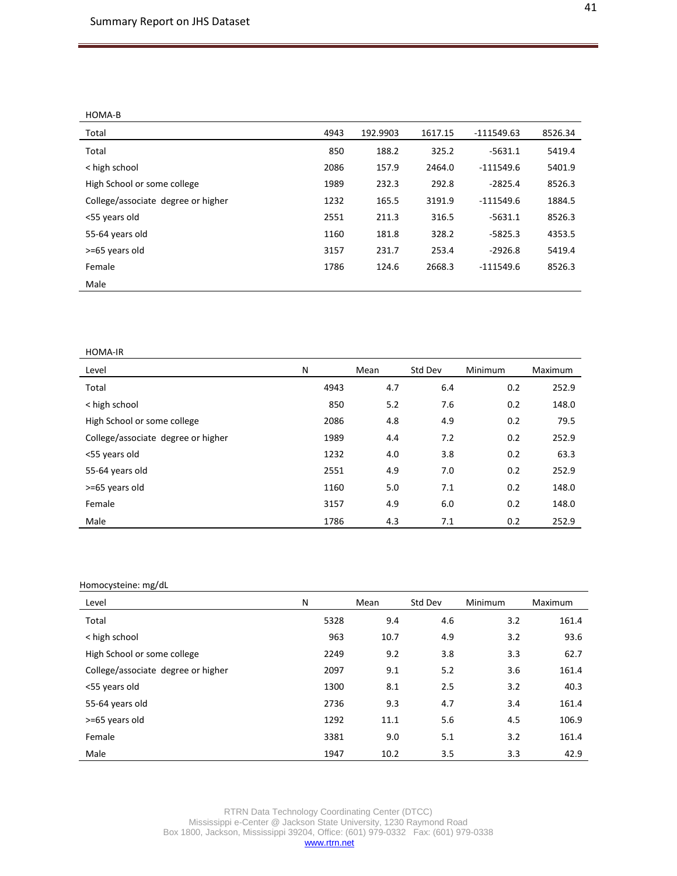HOMA-B

| Total                              | 4943 | 192.9903 | 1617.15 | $-111549.63$ | 8526.34 |
|------------------------------------|------|----------|---------|--------------|---------|
| Total                              | 850  | 188.2    | 325.2   | $-5631.1$    | 5419.4  |
| < high school                      | 2086 | 157.9    | 2464.0  | $-111549.6$  | 5401.9  |
| High School or some college        | 1989 | 232.3    | 292.8   | $-2825.4$    | 8526.3  |
| College/associate degree or higher | 1232 | 165.5    | 3191.9  | $-111549.6$  | 1884.5  |
| <55 years old                      | 2551 | 211.3    | 316.5   | $-5631.1$    | 8526.3  |
| 55-64 years old                    | 1160 | 181.8    | 328.2   | $-5825.3$    | 4353.5  |
| >=65 years old                     | 3157 | 231.7    | 253.4   | $-2926.8$    | 5419.4  |
| Female                             | 1786 | 124.6    | 2668.3  | $-111549.6$  | 8526.3  |
| Male                               |      |          |         |              |         |

#### HOMA-IR

| Level                              | N    | Mean | Std Dev | Minimum | Maximum |
|------------------------------------|------|------|---------|---------|---------|
| Total                              | 4943 | 4.7  | 6.4     | 0.2     | 252.9   |
| < high school                      | 850  | 5.2  | 7.6     | 0.2     | 148.0   |
| High School or some college        | 2086 | 4.8  | 4.9     | 0.2     | 79.5    |
| College/associate degree or higher | 1989 | 4.4  | 7.2     | 0.2     | 252.9   |
| <55 years old                      | 1232 | 4.0  | 3.8     | 0.2     | 63.3    |
| 55-64 years old                    | 2551 | 4.9  | 7.0     | 0.2     | 252.9   |
| >=65 years old                     | 1160 | 5.0  | 7.1     | 0.2     | 148.0   |
| Female                             | 3157 | 4.9  | 6.0     | 0.2     | 148.0   |
| Male                               | 1786 | 4.3  | 7.1     | 0.2     | 252.9   |

### Homocysteine: mg/dL

| Level                              | N    | Mean | Std Dev | Minimum | Maximum |
|------------------------------------|------|------|---------|---------|---------|
| Total                              | 5328 | 9.4  | 4.6     | 3.2     | 161.4   |
| < high school                      | 963  | 10.7 | 4.9     | 3.2     | 93.6    |
| High School or some college        | 2249 | 9.2  | 3.8     | 3.3     | 62.7    |
| College/associate degree or higher | 2097 | 9.1  | 5.2     | 3.6     | 161.4   |
| <55 years old                      | 1300 | 8.1  | 2.5     | 3.2     | 40.3    |
| 55-64 years old                    | 2736 | 9.3  | 4.7     | 3.4     | 161.4   |
| >=65 years old                     | 1292 | 11.1 | 5.6     | 4.5     | 106.9   |
| Female                             | 3381 | 9.0  | 5.1     | 3.2     | 161.4   |
| Male                               | 1947 | 10.2 | 3.5     | 3.3     | 42.9    |

RTRN Data Technology Coordinating Center (DTCC) Mississippi e-Center @ Jackson State University, 1230 Raymond Road Box 1800, Jackson, Mississippi 39204, Office: (601) 979-0332 Fax: (601) 979-0338 [www.rtrn.net](http://www.rtrn.net/)

41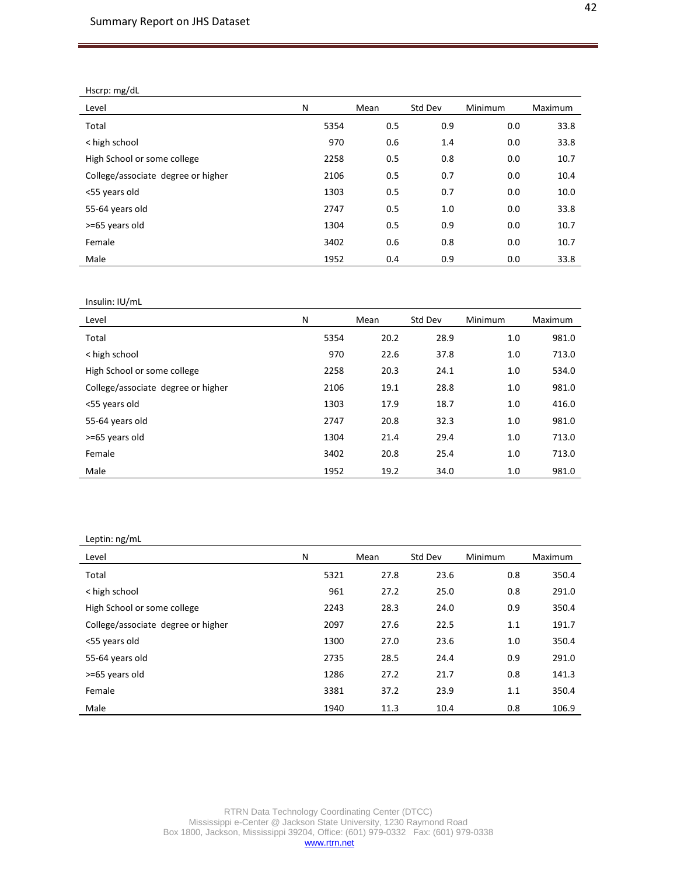Hscrp: mg/dL

| Level                              | N    | Mean | Std Dev | <b>Minimum</b> | Maximum |
|------------------------------------|------|------|---------|----------------|---------|
| Total                              | 5354 | 0.5  | 0.9     | 0.0            | 33.8    |
| < high school                      | 970  | 0.6  | 1.4     | 0.0            | 33.8    |
| High School or some college        | 2258 | 0.5  | 0.8     | 0.0            | 10.7    |
| College/associate degree or higher | 2106 | 0.5  | 0.7     | 0.0            | 10.4    |
| <55 years old                      | 1303 | 0.5  | 0.7     | 0.0            | 10.0    |
| 55-64 years old                    | 2747 | 0.5  | 1.0     | 0.0            | 33.8    |
| >=65 years old                     | 1304 | 0.5  | 0.9     | 0.0            | 10.7    |
| Female                             | 3402 | 0.6  | 0.8     | 0.0            | 10.7    |
| Male                               | 1952 | 0.4  | 0.9     | 0.0            | 33.8    |

#### Insulin: IU/mL

| Level                              | N    | Mean | Std Dev | Minimum | Maximum |
|------------------------------------|------|------|---------|---------|---------|
| Total                              | 5354 | 20.2 | 28.9    | 1.0     | 981.0   |
| < high school                      | 970  | 22.6 | 37.8    | 1.0     | 713.0   |
| High School or some college        | 2258 | 20.3 | 24.1    | 1.0     | 534.0   |
| College/associate degree or higher | 2106 | 19.1 | 28.8    | 1.0     | 981.0   |
| <55 years old                      | 1303 | 17.9 | 18.7    | 1.0     | 416.0   |
| 55-64 years old                    | 2747 | 20.8 | 32.3    | 1.0     | 981.0   |
| >=65 years old                     | 1304 | 21.4 | 29.4    | 1.0     | 713.0   |
| Female                             | 3402 | 20.8 | 25.4    | 1.0     | 713.0   |
| Male                               | 1952 | 19.2 | 34.0    | 1.0     | 981.0   |

#### Leptin: ng/mL

| Level                              | N    | Mean | Std Dev | Minimum | Maximum |
|------------------------------------|------|------|---------|---------|---------|
| Total                              | 5321 | 27.8 | 23.6    | 0.8     | 350.4   |
| < high school                      | 961  | 27.2 | 25.0    | 0.8     | 291.0   |
| High School or some college        | 2243 | 28.3 | 24.0    | 0.9     | 350.4   |
| College/associate degree or higher | 2097 | 27.6 | 22.5    | 1.1     | 191.7   |
| <55 years old                      | 1300 | 27.0 | 23.6    | 1.0     | 350.4   |
| 55-64 years old                    | 2735 | 28.5 | 24.4    | 0.9     | 291.0   |
| >=65 years old                     | 1286 | 27.2 | 21.7    | 0.8     | 141.3   |
| Female                             | 3381 | 37.2 | 23.9    | 1.1     | 350.4   |
| Male                               | 1940 | 11.3 | 10.4    | 0.8     | 106.9   |

RTRN Data Technology Coordinating Center (DTCC) Mississippi e-Center @ Jackson State University, 1230 Raymond Road Box 1800, Jackson, Mississippi 39204, Office: (601) 979-0332 Fax: (601) 979-0338 [www.rtrn.net](http://www.rtrn.net/)

42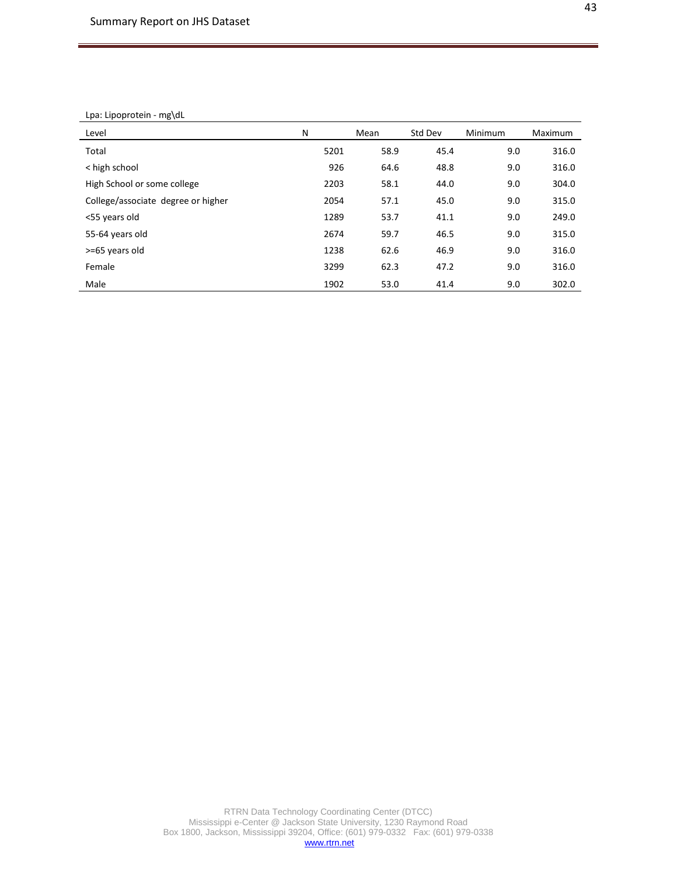#### Lpa: Lipoprotein - mg\dL

| Level                              | N    | Mean | Std Dev | Minimum | Maximum |
|------------------------------------|------|------|---------|---------|---------|
| Total                              | 5201 | 58.9 | 45.4    | 9.0     | 316.0   |
| < high school                      | 926  | 64.6 | 48.8    | 9.0     | 316.0   |
| High School or some college        | 2203 | 58.1 | 44.0    | 9.0     | 304.0   |
| College/associate degree or higher | 2054 | 57.1 | 45.0    | 9.0     | 315.0   |
| <55 years old                      | 1289 | 53.7 | 41.1    | 9.0     | 249.0   |
| 55-64 years old                    | 2674 | 59.7 | 46.5    | 9.0     | 315.0   |
| >=65 years old                     | 1238 | 62.6 | 46.9    | 9.0     | 316.0   |
| Female                             | 3299 | 62.3 | 47.2    | 9.0     | 316.0   |
| Male                               | 1902 | 53.0 | 41.4    | 9.0     | 302.0   |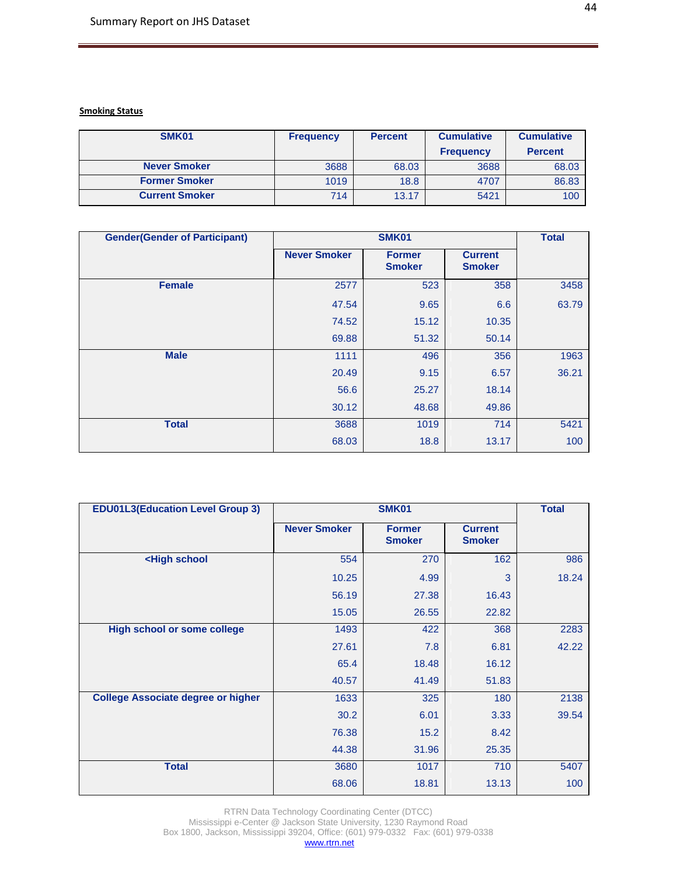# **Smoking Status**

| SMK01                 | <b>Frequency</b> | <b>Percent</b> | <b>Cumulative</b> | <b>Cumulative</b> |
|-----------------------|------------------|----------------|-------------------|-------------------|
|                       |                  |                | <b>Frequency</b>  | <b>Percent</b>    |
| <b>Never Smoker</b>   | 3688             | 68.03          | 3688              | 68.03             |
| <b>Former Smoker</b>  | 1019             | 18.8           | 4707              | 86.83             |
| <b>Current Smoker</b> | 714              | 13.17          | 5421              | 100               |

| <b>Gender(Gender of Participant)</b> |                     | SMK01                          |                                 | <b>Total</b> |
|--------------------------------------|---------------------|--------------------------------|---------------------------------|--------------|
|                                      | <b>Never Smoker</b> | <b>Former</b><br><b>Smoker</b> | <b>Current</b><br><b>Smoker</b> |              |
| <b>Female</b>                        | 2577                | 523                            | 358                             | 3458         |
|                                      | 47.54               | 9.65                           | 6.6                             | 63.79        |
|                                      | 74.52               | 15.12                          | 10.35                           |              |
|                                      | 69.88               | 51.32                          | 50.14                           |              |
| <b>Male</b>                          | 1111                | 496                            | 356                             | 1963         |
|                                      | 20.49               | 9.15                           | 6.57                            | 36.21        |
|                                      | 56.6                | 25.27                          | 18.14                           |              |
|                                      | 30.12               | 48.68                          | 49.86                           |              |
| <b>Total</b>                         | 3688                | 1019                           | 714                             | 5421         |
|                                      | 68.03               | 18.8                           | 13.17                           | 100          |

| <b>EDU01L3(Education Level Group 3)</b>                                        |                     | SMK01                          |                                 | <b>Total</b> |
|--------------------------------------------------------------------------------|---------------------|--------------------------------|---------------------------------|--------------|
|                                                                                | <b>Never Smoker</b> | <b>Former</b><br><b>Smoker</b> | <b>Current</b><br><b>Smoker</b> |              |
| <high school<="" th=""><th>554</th><th>270</th><th>162</th><th>986</th></high> | 554                 | 270                            | 162                             | 986          |
|                                                                                | 10.25               | 4.99                           | 3                               | 18.24        |
|                                                                                | 56.19               | 27.38                          | 16.43                           |              |
|                                                                                | 15.05               | 26.55                          | 22.82                           |              |
| <b>High school or some college</b>                                             | 1493                | 422                            | 368                             | 2283         |
|                                                                                | 27.61               | 7.8                            | 6.81                            | 42.22        |
|                                                                                | 65.4                | 18.48                          | 16.12                           |              |
|                                                                                | 40.57               | 41.49                          | 51.83                           |              |
| <b>College Associate degree or higher</b>                                      | 1633                | 325                            | 180                             | 2138         |
|                                                                                | 30.2                | 6.01                           | 3.33                            | 39.54        |
|                                                                                | 76.38               | 15.2                           | 8.42                            |              |
|                                                                                | 44.38               | 31.96                          | 25.35                           |              |
| <b>Total</b>                                                                   | 3680                | 1017                           | 710                             | 5407         |
|                                                                                | 68.06               | 18.81                          | 13.13                           | 100          |

RTRN Data Technology Coordinating Center (DTCC)

Mississippi e-Center @ Jackson State University, 1230 Raymond Road Box 1800, Jackson, Mississippi 39204, Office: (601) 979-0332 Fax: (601) 979-0338 [www.rtrn.net](http://www.rtrn.net/)